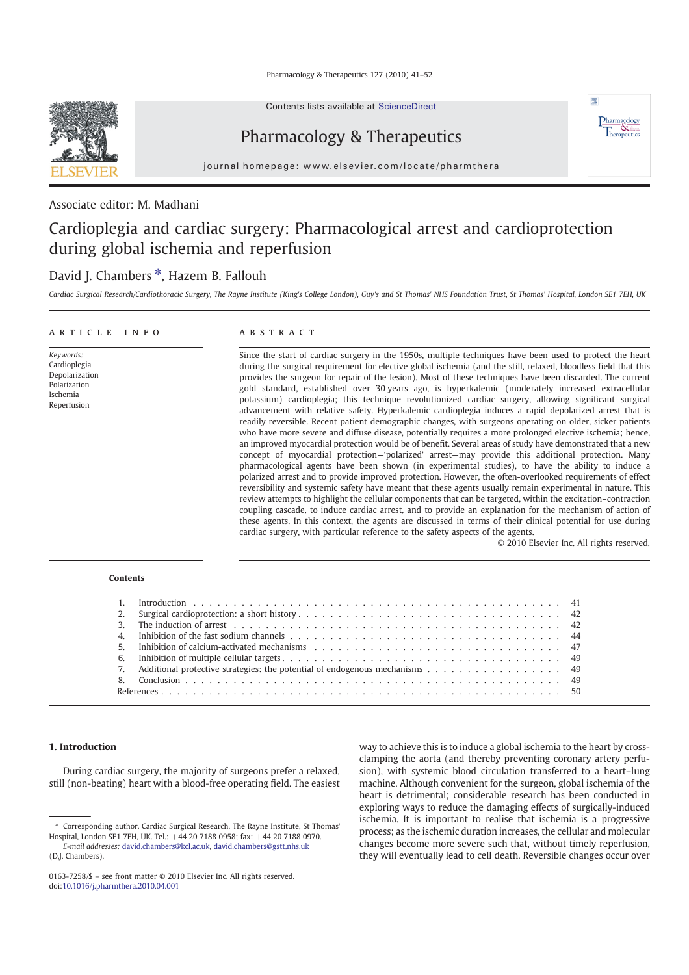Pharmacology & Therapeutics 127 (2010) 41–52



Contents lists available at ScienceDirect

# Pharmacology & Therapeutics

journal homepage: www.elsevier.com/locate/pharmthera

### Associate editor: M. Madhani

# Cardioplegia and cardiac surgery: Pharmacological arrest and cardioprotection during global ischemia and reperfusion

## David J. Chambers  $*$ , Hazem B. Fallouh

Cardiac Surgical Research/Cardiothoracic Surgery, The Rayne Institute (King's College London), Guy's and St Thomas' NHS Foundation Trust, St Thomas' Hospital, London SE1 7EH, UK

#### article info abstract

Keywords: Cardioplegia Depolarization Polarization Ischemia Reperfusion

Since the start of cardiac surgery in the 1950s, multiple techniques have been used to protect the heart during the surgical requirement for elective global ischemia (and the still, relaxed, bloodless field that this provides the surgeon for repair of the lesion). Most of these techniques have been discarded. The current gold standard, established over 30 years ago, is hyperkalemic (moderately increased extracellular potassium) cardioplegia; this technique revolutionized cardiac surgery, allowing significant surgical advancement with relative safety. Hyperkalemic cardioplegia induces a rapid depolarized arrest that is readily reversible. Recent patient demographic changes, with surgeons operating on older, sicker patients who have more severe and diffuse disease, potentially requires a more prolonged elective ischemia; hence, an improved myocardial protection would be of benefit. Several areas of study have demonstrated that a new concept of myocardial protection—'polarized' arrest—may provide this additional protection. Many pharmacological agents have been shown (in experimental studies), to have the ability to induce a polarized arrest and to provide improved protection. However, the often-overlooked requirements of effect reversibility and systemic safety have meant that these agents usually remain experimental in nature. This review attempts to highlight the cellular components that can be targeted, within the excitation–contraction coupling cascade, to induce cardiac arrest, and to provide an explanation for the mechanism of action of these agents. In this context, the agents are discussed in terms of their clinical potential for use during cardiac surgery, with particular reference to the safety aspects of the agents.

© 2010 Elsevier Inc. All rights reserved.

 $\frac{\underset{\text{Pharmacology}}{\text{Pharmacology}}}{\underset{\text{Therapeutics}}{\text{Stim}}}$ 

#### Contents

| 1.<br>2.<br>3.<br>4.<br>Inhibition of calcium-activated mechanisms response to the control of the control of calcium-activated mechanisms response to the control of the control of the control of the control of the control of the control of the co<br>5.<br>6.<br>Additional protective strategies: the potential of endogenous mechanisms $\dots \dots \dots \dots \dots \dots$<br>7.<br>8. |  | 41<br>42<br>42<br>44<br>47<br>49<br>49<br>49<br>50                                                                                                                                                                                                                                       |  |
|--------------------------------------------------------------------------------------------------------------------------------------------------------------------------------------------------------------------------------------------------------------------------------------------------------------------------------------------------------------------------------------------------|--|------------------------------------------------------------------------------------------------------------------------------------------------------------------------------------------------------------------------------------------------------------------------------------------|--|
| 1. Introduction                                                                                                                                                                                                                                                                                                                                                                                  |  | way to achieve this is to induce a global ischemia to the                                                                                                                                                                                                                                |  |
| During cardiac surgery, the majority of surgeons prefer a relaxed,<br>still (non-beating) heart with a blood-free operating field. The easiest                                                                                                                                                                                                                                                   |  | clamping the aorta (and thereby preventing coronary<br>sion), with systemic blood circulation transferred to<br>machine. Although convenient for the surgeon, global<br>heart is detrimental; considerable research has been<br>exploring ways to reduce the damaging effects of surgent |  |
| * Corresponding author. Cardiac Surgical Research, The Rayne Institute, St Thomas'<br>Hospital, London SE1 7EH, UK. Tel.: +44 20 7188 0958; fax: +44 20 7188 0970.<br>E-mail addresses: david.chambers@kcl.ac.uk. david.chambers@gstt.nhs.uk<br>(D.J. Chambers).                                                                                                                                 |  | ischemia. It is important to realise that ischemia is<br>process; as the ischemic duration increases, the cellular<br>changes become more severe such that, without time<br>they will eventually lead to cell death. Reversible chan                                                     |  |
| $0163-7258/\$$ – see front matter $\odot$ 2010 Elsevier Inc. All rights reserved.                                                                                                                                                                                                                                                                                                                |  |                                                                                                                                                                                                                                                                                          |  |

#### 1. Introduction

way to achieve this is to induce a global ischemia to the heart by crossclamping the aorta (and thereby preventing coronary artery perfusion), with systemic blood circulation transferred to a heart–lung machine. Although convenient for the surgeon, global ischemia of the heart is detrimental; considerable research has been conducted in exploring ways to reduce the damaging effects of surgically-induced ischemia. It is important to realise that ischemia is a progressive process; as the ischemic duration increases, the cellular and molecular changes become more severe such that, without timely reperfusion, they will eventually lead to cell death. Reversible changes occur over

<sup>⁎</sup> Corresponding author. Cardiac Surgical Research, The Rayne Institute, St Thomas' Hospital, London SE1 7EH, UK. Tel.: +44 20 7188 0958; fax: +44 20 7188 0970.

E-mail addresses: david.chambers@kcl.ac.uk, david.chambers@gstt.nhs.uk (D.J. Chambers).

doi:10.1016/j.pharmthera.2010.04.001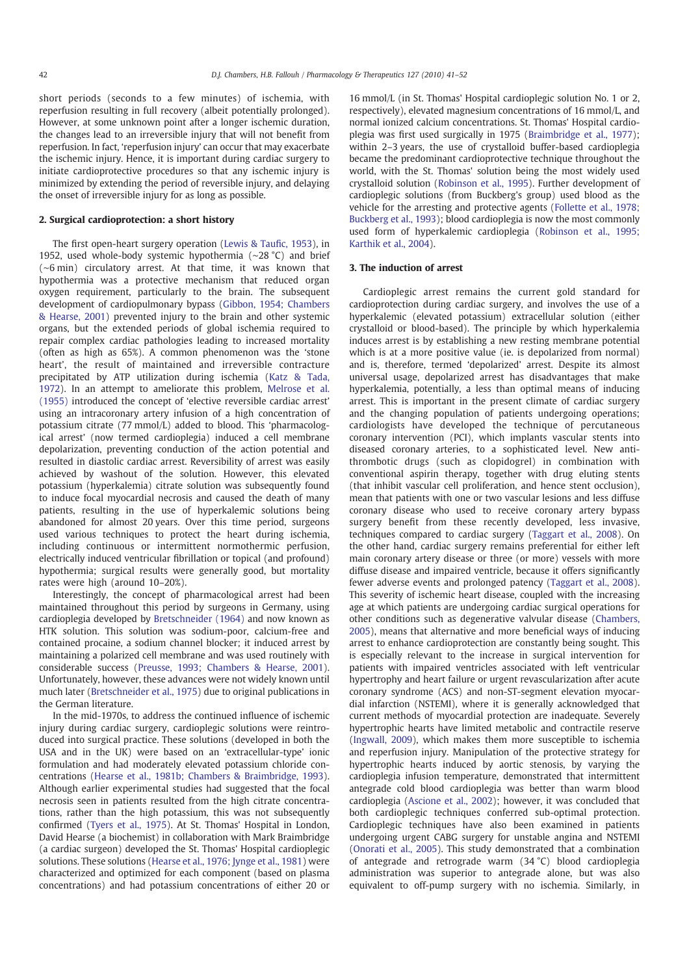short periods (seconds to a few minutes) of ischemia, with reperfusion resulting in full recovery (albeit potentially prolonged). However, at some unknown point after a longer ischemic duration, the changes lead to an irreversible injury that will not benefit from reperfusion. In fact, 'reperfusion injury' can occur that may exacerbate the ischemic injury. Hence, it is important during cardiac surgery to initiate cardioprotective procedures so that any ischemic injury is minimized by extending the period of reversible injury, and delaying the onset of irreversible injury for as long as possible.

#### 2. Surgical cardioprotection: a short history

The first open-heart surgery operation (Lewis & Taufic, 1953), in 1952, used whole-body systemic hypothermia (∼28 °C) and brief (∼6 min) circulatory arrest. At that time, it was known that hypothermia was a protective mechanism that reduced organ oxygen requirement, particularly to the brain. The subsequent development of cardiopulmonary bypass (Gibbon, 1954; Chambers & Hearse, 2001) prevented injury to the brain and other systemic organs, but the extended periods of global ischemia required to repair complex cardiac pathologies leading to increased mortality (often as high as 65%). A common phenomenon was the 'stone heart', the result of maintained and irreversible contracture precipitated by ATP utilization during ischemia (Katz & Tada, 1972). In an attempt to ameliorate this problem, Melrose et al. (1955) introduced the concept of 'elective reversible cardiac arrest' using an intracoronary artery infusion of a high concentration of potassium citrate (77 mmol/L) added to blood. This 'pharmacological arrest' (now termed cardioplegia) induced a cell membrane depolarization, preventing conduction of the action potential and resulted in diastolic cardiac arrest. Reversibility of arrest was easily achieved by washout of the solution. However, this elevated potassium (hyperkalemia) citrate solution was subsequently found to induce focal myocardial necrosis and caused the death of many patients, resulting in the use of hyperkalemic solutions being abandoned for almost 20 years. Over this time period, surgeons used various techniques to protect the heart during ischemia, including continuous or intermittent normothermic perfusion, electrically induced ventricular fibrillation or topical (and profound) hypothermia; surgical results were generally good, but mortality rates were high (around 10–20%).

Interestingly, the concept of pharmacological arrest had been maintained throughout this period by surgeons in Germany, using cardioplegia developed by Bretschneider (1964) and now known as HTK solution. This solution was sodium-poor, calcium-free and contained procaine, a sodium channel blocker; it induced arrest by maintaining a polarized cell membrane and was used routinely with considerable success (Preusse, 1993; Chambers & Hearse, 2001). Unfortunately, however, these advances were not widely known until much later (Bretschneider et al., 1975) due to original publications in the German literature.

In the mid-1970s, to address the continued influence of ischemic injury during cardiac surgery, cardioplegic solutions were reintroduced into surgical practice. These solutions (developed in both the USA and in the UK) were based on an 'extracellular-type' ionic formulation and had moderately elevated potassium chloride concentrations (Hearse et al., 1981b; Chambers & Braimbridge, 1993). Although earlier experimental studies had suggested that the focal necrosis seen in patients resulted from the high citrate concentrations, rather than the high potassium, this was not subsequently confirmed (Tyers et al., 1975). At St. Thomas' Hospital in London, David Hearse (a biochemist) in collaboration with Mark Braimbridge (a cardiac surgeon) developed the St. Thomas' Hospital cardioplegic solutions. These solutions (Hearse et al., 1976; Jynge et al., 1981) were characterized and optimized for each component (based on plasma concentrations) and had potassium concentrations of either 20 or 16 mmol/L (in St. Thomas' Hospital cardioplegic solution No. 1 or 2, respectively), elevated magnesium concentrations of 16 mmol/L, and normal ionized calcium concentrations. St. Thomas' Hospital cardioplegia was first used surgically in 1975 (Braimbridge et al., 1977); within 2–3 years, the use of crystalloid buffer-based cardioplegia became the predominant cardioprotective technique throughout the world, with the St. Thomas' solution being the most widely used crystalloid solution (Robinson et al., 1995). Further development of cardioplegic solutions (from Buckberg's group) used blood as the vehicle for the arresting and protective agents (Follette et al., 1978; Buckberg et al., 1993); blood cardioplegia is now the most commonly used form of hyperkalemic cardioplegia (Robinson et al., 1995; Karthik et al., 2004).

#### 3. The induction of arrest

Cardioplegic arrest remains the current gold standard for cardioprotection during cardiac surgery, and involves the use of a hyperkalemic (elevated potassium) extracellular solution (either crystalloid or blood-based). The principle by which hyperkalemia induces arrest is by establishing a new resting membrane potential which is at a more positive value (ie. is depolarized from normal) and is, therefore, termed 'depolarized' arrest. Despite its almost universal usage, depolarized arrest has disadvantages that make hyperkalemia, potentially, a less than optimal means of inducing arrest. This is important in the present climate of cardiac surgery and the changing population of patients undergoing operations; cardiologists have developed the technique of percutaneous coronary intervention (PCI), which implants vascular stents into diseased coronary arteries, to a sophisticated level. New antithrombotic drugs (such as clopidogrel) in combination with conventional aspirin therapy, together with drug eluting stents (that inhibit vascular cell proliferation, and hence stent occlusion), mean that patients with one or two vascular lesions and less diffuse coronary disease who used to receive coronary artery bypass surgery benefit from these recently developed, less invasive, techniques compared to cardiac surgery (Taggart et al., 2008). On the other hand, cardiac surgery remains preferential for either left main coronary artery disease or three (or more) vessels with more diffuse disease and impaired ventricle, because it offers significantly fewer adverse events and prolonged patency (Taggart et al., 2008). This severity of ischemic heart disease, coupled with the increasing age at which patients are undergoing cardiac surgical operations for other conditions such as degenerative valvular disease (Chambers, 2005), means that alternative and more beneficial ways of inducing arrest to enhance cardioprotection are constantly being sought. This is especially relevant to the increase in surgical intervention for patients with impaired ventricles associated with left ventricular hypertrophy and heart failure or urgent revascularization after acute coronary syndrome (ACS) and non-ST-segment elevation myocardial infarction (NSTEMI), where it is generally acknowledged that current methods of myocardial protection are inadequate. Severely hypertrophic hearts have limited metabolic and contractile reserve (Ingwall, 2009), which makes them more susceptible to ischemia and reperfusion injury. Manipulation of the protective strategy for hypertrophic hearts induced by aortic stenosis, by varying the cardioplegia infusion temperature, demonstrated that intermittent antegrade cold blood cardioplegia was better than warm blood cardioplegia (Ascione et al., 2002); however, it was concluded that both cardioplegic techniques conferred sub-optimal protection. Cardioplegic techniques have also been examined in patients undergoing urgent CABG surgery for unstable angina and NSTEMI (Onorati et al., 2005). This study demonstrated that a combination of antegrade and retrograde warm (34 °C) blood cardioplegia administration was superior to antegrade alone, but was also equivalent to off-pump surgery with no ischemia. Similarly, in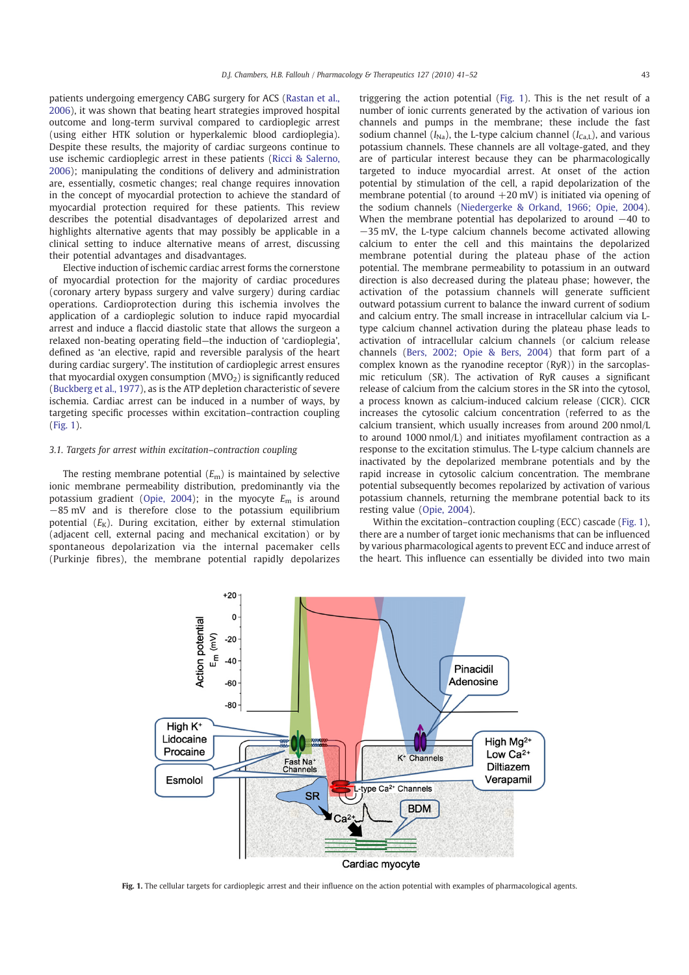patients undergoing emergency CABG surgery for ACS (Rastan et al., 2006), it was shown that beating heart strategies improved hospital outcome and long-term survival compared to cardioplegic arrest (using either HTK solution or hyperkalemic blood cardioplegia). Despite these results, the majority of cardiac surgeons continue to use ischemic cardioplegic arrest in these patients (Ricci & Salerno, 2006); manipulating the conditions of delivery and administration are, essentially, cosmetic changes; real change requires innovation in the concept of myocardial protection to achieve the standard of myocardial protection required for these patients. This review describes the potential disadvantages of depolarized arrest and highlights alternative agents that may possibly be applicable in a clinical setting to induce alternative means of arrest, discussing their potential advantages and disadvantages.

Elective induction of ischemic cardiac arrest forms the cornerstone of myocardial protection for the majority of cardiac procedures (coronary artery bypass surgery and valve surgery) during cardiac operations. Cardioprotection during this ischemia involves the application of a cardioplegic solution to induce rapid myocardial arrest and induce a flaccid diastolic state that allows the surgeon a relaxed non-beating operating field—the induction of 'cardioplegia', defined as 'an elective, rapid and reversible paralysis of the heart during cardiac surgery'. The institution of cardioplegic arrest ensures that myocardial oxygen consumption  $(MVO<sub>2</sub>)$  is significantly reduced (Buckberg et al., 1977), as is the ATP depletion characteristic of severe ischemia. Cardiac arrest can be induced in a number of ways, by targeting specific processes within excitation–contraction coupling (Fig. 1).

#### 3.1. Targets for arrest within excitation–contraction coupling

The resting membrane potential  $(E<sub>m</sub>)$  is maintained by selective ionic membrane permeability distribution, predominantly via the potassium gradient (Opie, 2004); in the myocyte  $E_{\rm m}$  is around −85 mV and is therefore close to the potassium equilibrium potential  $(E_K)$ . During excitation, either by external stimulation (adjacent cell, external pacing and mechanical excitation) or by spontaneous depolarization via the internal pacemaker cells (Purkinje fibres), the membrane potential rapidly depolarizes

triggering the action potential (Fig. 1). This is the net result of a number of ionic currents generated by the activation of various ion channels and pumps in the membrane; these include the fast sodium channel  $(I_{\text{Na}})$ , the L-type calcium channel  $(I_{\text{Ca},L})$ , and various potassium channels. These channels are all voltage-gated, and they are of particular interest because they can be pharmacologically targeted to induce myocardial arrest. At onset of the action potential by stimulation of the cell, a rapid depolarization of the membrane potential (to around  $+20$  mV) is initiated via opening of the sodium channels (Niedergerke & Orkand, 1966; Opie, 2004). When the membrane potential has depolarized to around −40 to −35 mV, the L-type calcium channels become activated allowing calcium to enter the cell and this maintains the depolarized membrane potential during the plateau phase of the action potential. The membrane permeability to potassium in an outward direction is also decreased during the plateau phase; however, the activation of the potassium channels will generate sufficient outward potassium current to balance the inward current of sodium and calcium entry. The small increase in intracellular calcium via Ltype calcium channel activation during the plateau phase leads to activation of intracellular calcium channels (or calcium release channels (Bers, 2002; Opie & Bers, 2004) that form part of a complex known as the ryanodine receptor (RyR)) in the sarcoplasmic reticulum (SR). The activation of RyR causes a significant release of calcium from the calcium stores in the SR into the cytosol, a process known as calcium-induced calcium release (CICR). CICR increases the cytosolic calcium concentration (referred to as the calcium transient, which usually increases from around 200 nmol/L to around 1000 nmol/L) and initiates myofilament contraction as a response to the excitation stimulus. The L-type calcium channels are inactivated by the depolarized membrane potentials and by the rapid increase in cytosolic calcium concentration. The membrane potential subsequently becomes repolarized by activation of various potassium channels, returning the membrane potential back to its resting value (Opie, 2004).

Within the excitation–contraction coupling (ECC) cascade (Fig. 1), there are a number of target ionic mechanisms that can be influenced by various pharmacological agents to prevent ECC and induce arrest of the heart. This influence can essentially be divided into two main



Fig. 1. The cellular targets for cardioplegic arrest and their influence on the action potential with examples of pharmacological agents.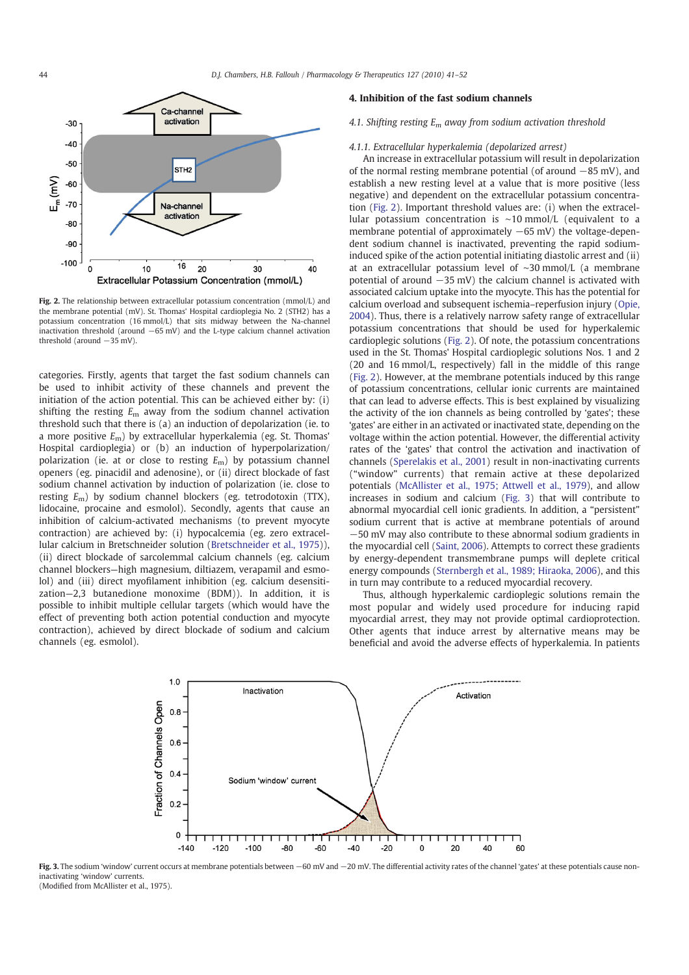

Fig. 2. The relationship between extracellular potassium concentration (mmol/L) and the membrane potential (mV). St. Thomas' Hospital cardioplegia No. 2 (STH2) has a potassium concentration (16 mmol/L) that sits midway between the Na-channel inactivation threshold (around −65 mV) and the L-type calcium channel activation threshold (around −35 mV).

categories. Firstly, agents that target the fast sodium channels can be used to inhibit activity of these channels and prevent the initiation of the action potential. This can be achieved either by: (i) shifting the resting  $E_m$  away from the sodium channel activation threshold such that there is (a) an induction of depolarization (ie. to a more positive  $E_m$ ) by extracellular hyperkalemia (eg. St. Thomas' Hospital cardioplegia) or (b) an induction of hyperpolarization/ polarization (ie. at or close to resting  $E_m$ ) by potassium channel openers (eg. pinacidil and adenosine), or (ii) direct blockade of fast sodium channel activation by induction of polarization (ie. close to resting  $E_{\text{m}}$ ) by sodium channel blockers (eg. tetrodotoxin (TTX), lidocaine, procaine and esmolol). Secondly, agents that cause an inhibition of calcium-activated mechanisms (to prevent myocyte contraction) are achieved by: (i) hypocalcemia (eg. zero extracellular calcium in Bretschneider solution (Bretschneider et al., 1975)), (ii) direct blockade of sarcolemmal calcium channels (eg. calcium channel blockers—high magnesium, diltiazem, verapamil and esmolol) and (iii) direct myofilament inhibition (eg. calcium desensitization—2,3 butanedione monoxime (BDM)). In addition, it is possible to inhibit multiple cellular targets (which would have the effect of preventing both action potential conduction and myocyte contraction), achieved by direct blockade of sodium and calcium channels (eg. esmolol).

#### 4. Inhibition of the fast sodium channels

#### 4.1. Shifting resting  $E_m$  away from sodium activation threshold

#### 4.1.1. Extracellular hyperkalemia (depolarized arrest)

An increase in extracellular potassium will result in depolarization of the normal resting membrane potential (of around −85 mV), and establish a new resting level at a value that is more positive (less negative) and dependent on the extracellular potassium concentration (Fig. 2). Important threshold values are: (i) when the extracellular potassium concentration is ∼10 mmol/L (equivalent to a membrane potential of approximately −65 mV) the voltage-dependent sodium channel is inactivated, preventing the rapid sodiuminduced spike of the action potential initiating diastolic arrest and (ii) at an extracellular potassium level of ∼30 mmol/L (a membrane potential of around −35 mV) the calcium channel is activated with associated calcium uptake into the myocyte. This has the potential for calcium overload and subsequent ischemia–reperfusion injury (Opie, 2004). Thus, there is a relatively narrow safety range of extracellular potassium concentrations that should be used for hyperkalemic cardioplegic solutions (Fig. 2). Of note, the potassium concentrations used in the St. Thomas' Hospital cardioplegic solutions Nos. 1 and 2 (20 and 16 mmol/L, respectively) fall in the middle of this range (Fig. 2). However, at the membrane potentials induced by this range of potassium concentrations, cellular ionic currents are maintained that can lead to adverse effects. This is best explained by visualizing the activity of the ion channels as being controlled by 'gates'; these 'gates' are either in an activated or inactivated state, depending on the voltage within the action potential. However, the differential activity rates of the 'gates' that control the activation and inactivation of channels (Sperelakis et al., 2001) result in non-inactivating currents ("window" currents) that remain active at these depolarized potentials (McAllister et al., 1975; Attwell et al., 1979), and allow increases in sodium and calcium (Fig. 3) that will contribute to abnormal myocardial cell ionic gradients. In addition, a "persistent" sodium current that is active at membrane potentials of around −50 mV may also contribute to these abnormal sodium gradients in the myocardial cell (Saint, 2006). Attempts to correct these gradients by energy-dependent transmembrane pumps will deplete critical energy compounds (Sternbergh et al., 1989; Hiraoka, 2006), and this in turn may contribute to a reduced myocardial recovery.

Thus, although hyperkalemic cardioplegic solutions remain the most popular and widely used procedure for inducing rapid myocardial arrest, they may not provide optimal cardioprotection. Other agents that induce arrest by alternative means may be beneficial and avoid the adverse effects of hyperkalemia. In patients



Fig. 3. The sodium 'window' current occurs at membrane potentials between −60 mV and −20 mV. The differential activity rates of the channel 'gates' at these potentials cause noninactivating 'window' currents. (Modified from McAllister et al., 1975).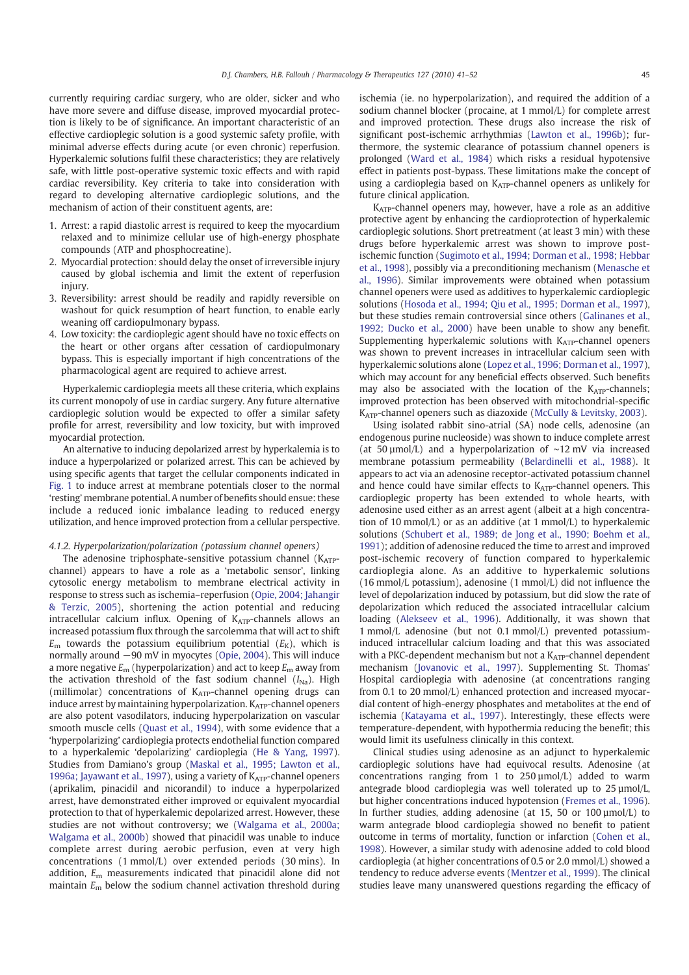currently requiring cardiac surgery, who are older, sicker and who have more severe and diffuse disease, improved myocardial protection is likely to be of significance. An important characteristic of an effective cardioplegic solution is a good systemic safety profile, with minimal adverse effects during acute (or even chronic) reperfusion. Hyperkalemic solutions fulfil these characteristics; they are relatively safe, with little post-operative systemic toxic effects and with rapid cardiac reversibility. Key criteria to take into consideration with regard to developing alternative cardioplegic solutions, and the mechanism of action of their constituent agents, are:

- 1. Arrest: a rapid diastolic arrest is required to keep the myocardium relaxed and to minimize cellular use of high-energy phosphate compounds (ATP and phosphocreatine).
- 2. Myocardial protection: should delay the onset of irreversible injury caused by global ischemia and limit the extent of reperfusion injury.
- 3. Reversibility: arrest should be readily and rapidly reversible on washout for quick resumption of heart function, to enable early weaning off cardiopulmonary bypass.
- 4. Low toxicity: the cardioplegic agent should have no toxic effects on the heart or other organs after cessation of cardiopulmonary bypass. This is especially important if high concentrations of the pharmacological agent are required to achieve arrest.

Hyperkalemic cardioplegia meets all these criteria, which explains its current monopoly of use in cardiac surgery. Any future alternative cardioplegic solution would be expected to offer a similar safety profile for arrest, reversibility and low toxicity, but with improved myocardial protection.

An alternative to inducing depolarized arrest by hyperkalemia is to induce a hyperpolarized or polarized arrest. This can be achieved by using specific agents that target the cellular components indicated in Fig. 1 to induce arrest at membrane potentials closer to the normal 'resting' membrane potential. A number of benefits should ensue: these include a reduced ionic imbalance leading to reduced energy utilization, and hence improved protection from a cellular perspective.

#### 4.1.2. Hyperpolarization/polarization (potassium channel openers)

The adenosine triphosphate-sensitive potassium channel  $(K_{ATP}$ channel) appears to have a role as a 'metabolic sensor', linking cytosolic energy metabolism to membrane electrical activity in response to stress such as ischemia–reperfusion (Opie, 2004; Jahangir & Terzic, 2005), shortening the action potential and reducing intracellular calcium influx. Opening of  $K_{ATP}$ -channels allows an increased potassium flux through the sarcolemma that will act to shift  $E<sub>m</sub>$  towards the potassium equilibrium potential  $(E<sub>K</sub>)$ , which is normally around −90 mV in myocytes (Opie, 2004). This will induce a more negative  $E_m$  (hyperpolarization) and act to keep  $E_m$  away from the activation threshold of the fast sodium channel  $(I_{\text{Na}})$ . High (millimolar) concentrations of  $K_{ATP}$ -channel opening drugs can induce arrest by maintaining hyperpolarization.  $K_{ATP}$ -channel openers are also potent vasodilators, inducing hyperpolarization on vascular smooth muscle cells (Quast et al., 1994), with some evidence that a 'hyperpolarizing' cardioplegia protects endothelial function compared to a hyperkalemic 'depolarizing' cardioplegia (He & Yang, 1997). Studies from Damiano's group (Maskal et al., 1995; Lawton et al., 1996a; Jayawant et al., 1997), using a variety of  $K_{ATP}$ -channel openers (aprikalim, pinacidil and nicorandil) to induce a hyperpolarized arrest, have demonstrated either improved or equivalent myocardial protection to that of hyperkalemic depolarized arrest. However, these studies are not without controversy; we (Walgama et al., 2000a; Walgama et al., 2000b) showed that pinacidil was unable to induce complete arrest during aerobic perfusion, even at very high concentrations (1 mmol/L) over extended periods (30 mins). In addition,  $E_m$  measurements indicated that pinacidil alone did not maintain  $E_m$  below the sodium channel activation threshold during ischemia (ie. no hyperpolarization), and required the addition of a sodium channel blocker (procaine, at 1 mmol/L) for complete arrest and improved protection. These drugs also increase the risk of significant post-ischemic arrhythmias (Lawton et al., 1996b); furthermore, the systemic clearance of potassium channel openers is prolonged (Ward et al., 1984) which risks a residual hypotensive effect in patients post-bypass. These limitations make the concept of using a cardioplegia based on KATP-channel openers as unlikely for future clinical application.

KATP-channel openers may, however, have a role as an additive protective agent by enhancing the cardioprotection of hyperkalemic cardioplegic solutions. Short pretreatment (at least 3 min) with these drugs before hyperkalemic arrest was shown to improve postischemic function (Sugimoto et al., 1994; Dorman et al., 1998; Hebbar et al., 1998), possibly via a preconditioning mechanism (Menasche et al., 1996). Similar improvements were obtained when potassium channel openers were used as additives to hyperkalemic cardioplegic solutions (Hosoda et al., 1994; Qiu et al., 1995; Dorman et al., 1997), but these studies remain controversial since others (Galinanes et al., 1992; Ducko et al., 2000) have been unable to show any benefit. Supplementing hyperkalemic solutions with  $K_{ATP}$ -channel openers was shown to prevent increases in intracellular calcium seen with hyperkalemic solutions alone (Lopez et al., 1996; Dorman et al., 1997), which may account for any beneficial effects observed. Such benefits may also be associated with the location of the  $K_{ATP}$ -channels; improved protection has been observed with mitochondrial-specific KATP-channel openers such as diazoxide (McCully & Levitsky, 2003).

Using isolated rabbit sino-atrial (SA) node cells, adenosine (an endogenous purine nucleoside) was shown to induce complete arrest (at 50 µmol/L) and a hyperpolarization of ∼12 mV via increased membrane potassium permeability (Belardinelli et al., 1988). It appears to act via an adenosine receptor-activated potassium channel and hence could have similar effects to  $K_{ATP}$ -channel openers. This cardioplegic property has been extended to whole hearts, with adenosine used either as an arrest agent (albeit at a high concentration of 10 mmol/L) or as an additive (at 1 mmol/L) to hyperkalemic solutions (Schubert et al., 1989; de Jong et al., 1990; Boehm et al., 1991); addition of adenosine reduced the time to arrest and improved post-ischemic recovery of function compared to hyperkalemic cardioplegia alone. As an additive to hyperkalemic solutions (16 mmol/L potassium), adenosine (1 mmol/L) did not influence the level of depolarization induced by potassium, but did slow the rate of depolarization which reduced the associated intracellular calcium loading (Alekseev et al., 1996). Additionally, it was shown that 1 mmol/L adenosine (but not 0.1 mmol/L) prevented potassiuminduced intracellular calcium loading and that this was associated with a PKC-dependent mechanism but not a KATP-channel dependent mechanism (Jovanovic et al., 1997). Supplementing St. Thomas' Hospital cardioplegia with adenosine (at concentrations ranging from 0.1 to 20 mmol/L) enhanced protection and increased myocardial content of high-energy phosphates and metabolites at the end of ischemia (Katayama et al., 1997). Interestingly, these effects were temperature-dependent, with hypothermia reducing the benefit; this would limit its usefulness clinically in this context.

Clinical studies using adenosine as an adjunct to hyperkalemic cardioplegic solutions have had equivocal results. Adenosine (at concentrations ranging from 1 to  $250 \mu$ mol/L) added to warm antegrade blood cardioplegia was well tolerated up to 25 µmol/L, but higher concentrations induced hypotension (Fremes et al., 1996). In further studies, adding adenosine (at 15, 50 or 100 µmol/L) to warm antegrade blood cardioplegia showed no benefit to patient outcome in terms of mortality, function or infarction (Cohen et al., 1998). However, a similar study with adenosine added to cold blood cardioplegia (at higher concentrations of 0.5 or 2.0 mmol/L) showed a tendency to reduce adverse events (Mentzer et al., 1999). The clinical studies leave many unanswered questions regarding the efficacy of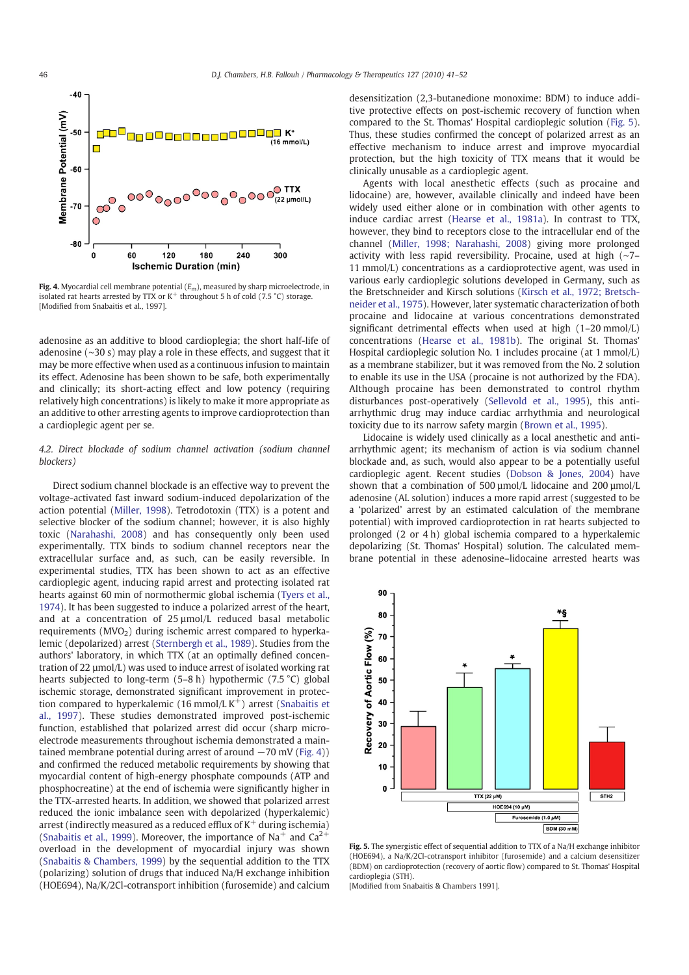

Fig. 4. Myocardial cell membrane potential  $(E_m)$ , measured by sharp microelectrode, in isolated rat hearts arrested by TTX or  $K^+$  throughout 5 h of cold (7.5 °C) storage. [Modified from Snabaitis et al., 1997].

adenosine as an additive to blood cardioplegia; the short half-life of adenosine (∼30 s) may play a role in these effects, and suggest that it may be more effective when used as a continuous infusion to maintain its effect. Adenosine has been shown to be safe, both experimentally and clinically; its short-acting effect and low potency (requiring relatively high concentrations) is likely to make it more appropriate as an additive to other arresting agents to improve cardioprotection than a cardioplegic agent per se.

#### 4.2. Direct blockade of sodium channel activation (sodium channel blockers)

Direct sodium channel blockade is an effective way to prevent the voltage-activated fast inward sodium-induced depolarization of the action potential (Miller, 1998). Tetrodotoxin (TTX) is a potent and selective blocker of the sodium channel; however, it is also highly toxic (Narahashi, 2008) and has consequently only been used experimentally. TTX binds to sodium channel receptors near the extracellular surface and, as such, can be easily reversible. In experimental studies, TTX has been shown to act as an effective cardioplegic agent, inducing rapid arrest and protecting isolated rat hearts against 60 min of normothermic global ischemia (Tyers et al., 1974). It has been suggested to induce a polarized arrest of the heart, and at a concentration of 25  $\mu$ mol/L reduced basal metabolic requirements ( $MVO<sub>2</sub>$ ) during ischemic arrest compared to hyperkalemic (depolarized) arrest (Sternbergh et al., 1989). Studies from the authors' laboratory, in which TTX (at an optimally defined concentration of 22 µmol/L) was used to induce arrest of isolated working rat hearts subjected to long-term (5–8 h) hypothermic (7.5 °C) global ischemic storage, demonstrated significant improvement in protection compared to hyperkalemic (16 mmol/L  $K^+$ ) arrest (Snabaitis et al., 1997). These studies demonstrated improved post-ischemic function, established that polarized arrest did occur (sharp microelectrode measurements throughout ischemia demonstrated a maintained membrane potential during arrest of around  $-70$  mV (Fig. 4)) and confirmed the reduced metabolic requirements by showing that myocardial content of high-energy phosphate compounds (ATP and phosphocreatine) at the end of ischemia were significantly higher in the TTX-arrested hearts. In addition, we showed that polarized arrest reduced the ionic imbalance seen with depolarized (hyperkalemic) arrest (indirectly measured as a reduced efflux of  $K^+$  during ischemia) (Snabaitis et al., 1999). Moreover, the importance of Na<sup>+</sup> and Ca<sup>2+</sup> overload in the development of myocardial injury was shown (Snabaitis & Chambers, 1999) by the sequential addition to the TTX (polarizing) solution of drugs that induced Na/H exchange inhibition (HOE694), Na/K/2Cl-cotransport inhibition (furosemide) and calcium desensitization (2,3-butanedione monoxime: BDM) to induce additive protective effects on post-ischemic recovery of function when compared to the St. Thomas' Hospital cardioplegic solution (Fig. 5). Thus, these studies confirmed the concept of polarized arrest as an effective mechanism to induce arrest and improve myocardial protection, but the high toxicity of TTX means that it would be clinically unusable as a cardioplegic agent.

Agents with local anesthetic effects (such as procaine and lidocaine) are, however, available clinically and indeed have been widely used either alone or in combination with other agents to induce cardiac arrest (Hearse et al., 1981a). In contrast to TTX, however, they bind to receptors close to the intracellular end of the channel (Miller, 1998; Narahashi, 2008) giving more prolonged activity with less rapid reversibility. Procaine, used at high (∼7– 11 mmol/L) concentrations as a cardioprotective agent, was used in various early cardioplegic solutions developed in Germany, such as the Bretschneider and Kirsch solutions (Kirsch et al., 1972; Bretschneider et al., 1975). However, later systematic characterization of both procaine and lidocaine at various concentrations demonstrated significant detrimental effects when used at high (1–20 mmol/L) concentrations (Hearse et al., 1981b). The original St. Thomas' Hospital cardioplegic solution No. 1 includes procaine (at 1 mmol/L) as a membrane stabilizer, but it was removed from the No. 2 solution to enable its use in the USA (procaine is not authorized by the FDA). Although procaine has been demonstrated to control rhythm disturbances post-operatively (Sellevold et al., 1995), this antiarrhythmic drug may induce cardiac arrhythmia and neurological toxicity due to its narrow safety margin (Brown et al., 1995).

Lidocaine is widely used clinically as a local anesthetic and antiarrhythmic agent; its mechanism of action is via sodium channel blockade and, as such, would also appear to be a potentially useful cardioplegic agent. Recent studies (Dobson & Jones, 2004) have shown that a combination of 500 µmol/L lidocaine and 200 µmol/L adenosine (AL solution) induces a more rapid arrest (suggested to be a 'polarized' arrest by an estimated calculation of the membrane potential) with improved cardioprotection in rat hearts subjected to prolonged (2 or 4 h) global ischemia compared to a hyperkalemic depolarizing (St. Thomas' Hospital) solution. The calculated membrane potential in these adenosine–lidocaine arrested hearts was



Fig. 5. The synergistic effect of sequential addition to TTX of a Na/H exchange inhibitor (HOE694), a Na/K/2Cl-cotransport inhibitor (furosemide) and a calcium desensitizer (BDM) on cardioprotection (recovery of aortic flow) compared to St. Thomas' Hospital cardioplegia (STH).

[Modified from Snabaitis & Chambers 1991].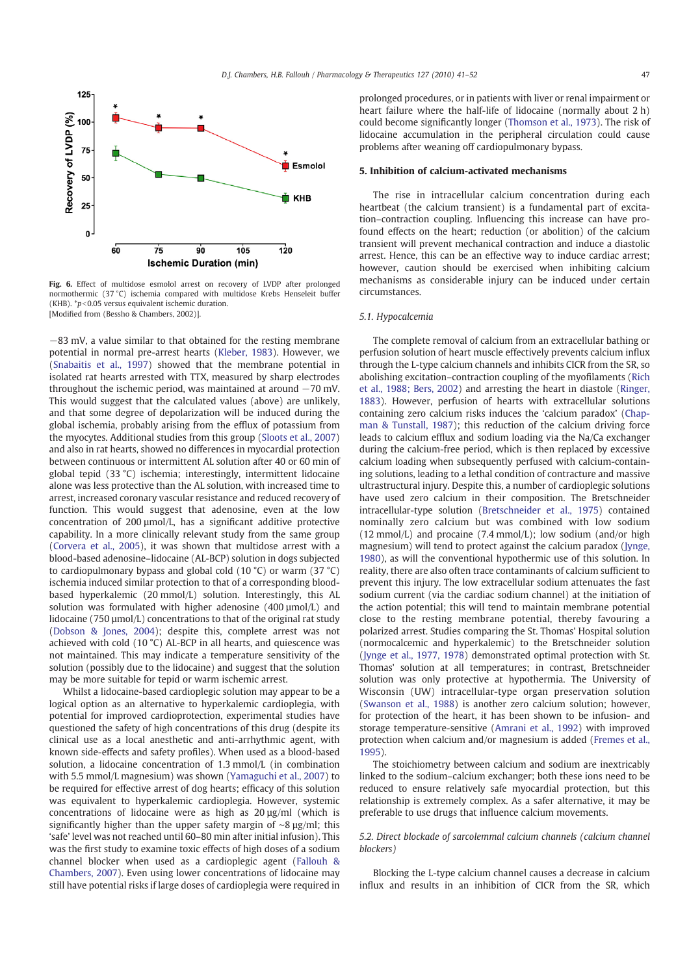

Fig. 6. Effect of multidose esmolol arrest on recovery of LVDP after prolonged normothermic (37 °C) ischemia compared with multidose Krebs Henseleit buffer (KHB).  $*p<0.05$  versus equivalent ischemic duration. [Modified from (Bessho & Chambers, 2002)].

−83 mV, a value similar to that obtained for the resting membrane potential in normal pre-arrest hearts (Kleber, 1983). However, we (Snabaitis et al., 1997) showed that the membrane potential in isolated rat hearts arrested with TTX, measured by sharp electrodes throughout the ischemic period, was maintained at around  $-70$  mV. This would suggest that the calculated values (above) are unlikely, and that some degree of depolarization will be induced during the global ischemia, probably arising from the efflux of potassium from the myocytes. Additional studies from this group (Sloots et al., 2007) and also in rat hearts, showed no differences in myocardial protection between continuous or intermittent AL solution after 40 or 60 min of global tepid (33 °C) ischemia; interestingly, intermittent lidocaine alone was less protective than the AL solution, with increased time to arrest, increased coronary vascular resistance and reduced recovery of function. This would suggest that adenosine, even at the low concentration of 200 µmol/L, has a significant additive protective capability. In a more clinically relevant study from the same group (Corvera et al., 2005), it was shown that multidose arrest with a blood-based adenosine–lidocaine (AL-BCP) solution in dogs subjected to cardiopulmonary bypass and global cold (10 °C) or warm (37 °C) ischemia induced similar protection to that of a corresponding bloodbased hyperkalemic (20 mmol/L) solution. Interestingly, this AL solution was formulated with higher adenosine (400 µmol/L) and lidocaine (750  $\mu$ mol/L) concentrations to that of the original rat study (Dobson & Jones, 2004); despite this, complete arrest was not achieved with cold (10 °C) AL-BCP in all hearts, and quiescence was not maintained. This may indicate a temperature sensitivity of the solution (possibly due to the lidocaine) and suggest that the solution may be more suitable for tepid or warm ischemic arrest.

Whilst a lidocaine-based cardioplegic solution may appear to be a logical option as an alternative to hyperkalemic cardioplegia, with potential for improved cardioprotection, experimental studies have questioned the safety of high concentrations of this drug (despite its clinical use as a local anesthetic and anti-arrhythmic agent, with known side-effects and safety profiles). When used as a blood-based solution, a lidocaine concentration of 1.3 mmol/L (in combination with 5.5 mmol/L magnesium) was shown (Yamaguchi et al., 2007) to be required for effective arrest of dog hearts; efficacy of this solution was equivalent to hyperkalemic cardioplegia. However, systemic concentrations of lidocaine were as high as 20 µg/ml (which is significantly higher than the upper safety margin of ∼8 µg/ml; this 'safe' level was not reached until 60–80 min after initial infusion). This was the first study to examine toxic effects of high doses of a sodium channel blocker when used as a cardioplegic agent (Fallouh & Chambers, 2007). Even using lower concentrations of lidocaine may still have potential risks if large doses of cardioplegia were required in prolonged procedures, or in patients with liver or renal impairment or heart failure where the half-life of lidocaine (normally about 2 h) could become significantly longer (Thomson et al., 1973). The risk of lidocaine accumulation in the peripheral circulation could cause problems after weaning off cardiopulmonary bypass.

#### 5. Inhibition of calcium-activated mechanisms

The rise in intracellular calcium concentration during each heartbeat (the calcium transient) is a fundamental part of excitation–contraction coupling. Influencing this increase can have profound effects on the heart; reduction (or abolition) of the calcium transient will prevent mechanical contraction and induce a diastolic arrest. Hence, this can be an effective way to induce cardiac arrest; however, caution should be exercised when inhibiting calcium mechanisms as considerable injury can be induced under certain circumstances.

#### 5.1. Hypocalcemia

The complete removal of calcium from an extracellular bathing or perfusion solution of heart muscle effectively prevents calcium influx through the L-type calcium channels and inhibits CICR from the SR, so abolishing excitation–contraction coupling of the myofilaments (Rich et al., 1988; Bers, 2002) and arresting the heart in diastole (Ringer, 1883). However, perfusion of hearts with extracellular solutions containing zero calcium risks induces the 'calcium paradox' (Chapman & Tunstall, 1987); this reduction of the calcium driving force leads to calcium efflux and sodium loading via the Na/Ca exchanger during the calcium-free period, which is then replaced by excessive calcium loading when subsequently perfused with calcium-containing solutions, leading to a lethal condition of contracture and massive ultrastructural injury. Despite this, a number of cardioplegic solutions have used zero calcium in their composition. The Bretschneider intracellular-type solution (Bretschneider et al., 1975) contained nominally zero calcium but was combined with low sodium  $(12 \text{ mmol/L})$  and procaine  $(7.4 \text{ mmol/L})$ ; low sodium  $($ and/or high magnesium) will tend to protect against the calcium paradox (Jynge, 1980), as will the conventional hypothermic use of this solution. In reality, there are also often trace contaminants of calcium sufficient to prevent this injury. The low extracellular sodium attenuates the fast sodium current (via the cardiac sodium channel) at the initiation of the action potential; this will tend to maintain membrane potential close to the resting membrane potential, thereby favouring a polarized arrest. Studies comparing the St. Thomas' Hospital solution (normocalcemic and hyperkalemic) to the Bretschneider solution (Jynge et al., 1977, 1978) demonstrated optimal protection with St. Thomas' solution at all temperatures; in contrast, Bretschneider solution was only protective at hypothermia. The University of Wisconsin (UW) intracellular-type organ preservation solution (Swanson et al., 1988) is another zero calcium solution; however, for protection of the heart, it has been shown to be infusion- and storage temperature-sensitive (Amrani et al., 1992) with improved protection when calcium and/or magnesium is added (Fremes et al., 1995).

The stoichiometry between calcium and sodium are inextricably linked to the sodium–calcium exchanger; both these ions need to be reduced to ensure relatively safe myocardial protection, but this relationship is extremely complex. As a safer alternative, it may be preferable to use drugs that influence calcium movements.

#### 5.2. Direct blockade of sarcolemmal calcium channels (calcium channel blockers)

Blocking the L-type calcium channel causes a decrease in calcium influx and results in an inhibition of CICR from the SR, which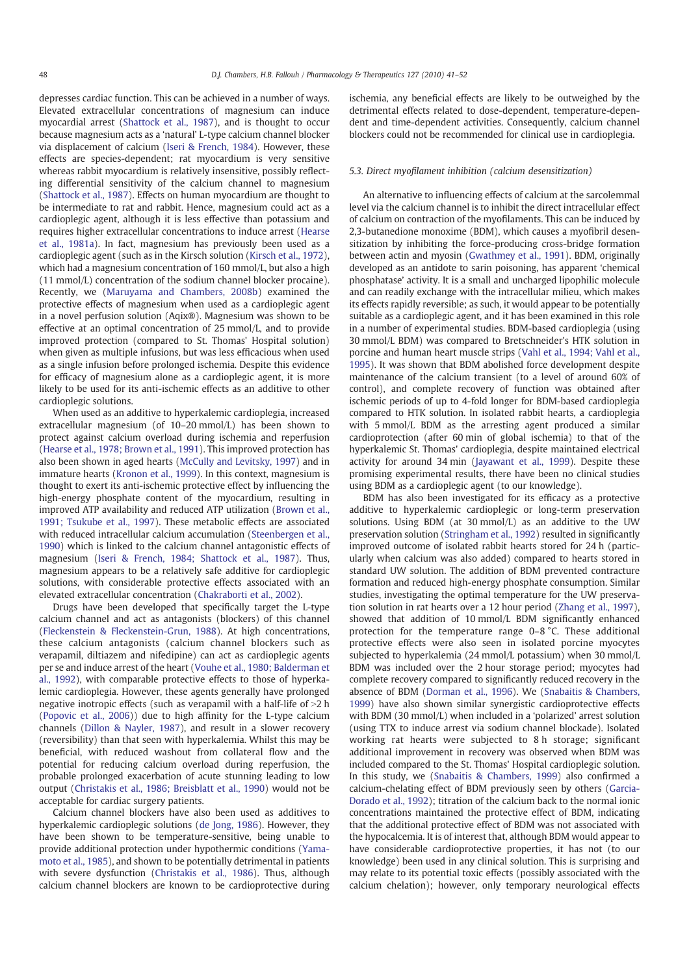depresses cardiac function. This can be achieved in a number of ways. Elevated extracellular concentrations of magnesium can induce myocardial arrest (Shattock et al., 1987), and is thought to occur because magnesium acts as a 'natural' L-type calcium channel blocker via displacement of calcium (Iseri & French, 1984). However, these effects are species-dependent; rat myocardium is very sensitive whereas rabbit myocardium is relatively insensitive, possibly reflecting differential sensitivity of the calcium channel to magnesium (Shattock et al., 1987). Effects on human myocardium are thought to be intermediate to rat and rabbit. Hence, magnesium could act as a cardioplegic agent, although it is less effective than potassium and requires higher extracellular concentrations to induce arrest (Hearse et al., 1981a). In fact, magnesium has previously been used as a cardioplegic agent (such as in the Kirsch solution (Kirsch et al., 1972), which had a magnesium concentration of 160 mmol/L, but also a high (11 mmol/L) concentration of the sodium channel blocker procaine). Recently, we (Maruyama and Chambers, 2008b) examined the protective effects of magnesium when used as a cardioplegic agent in a novel perfusion solution (Aqix®). Magnesium was shown to be effective at an optimal concentration of 25 mmol/L, and to provide improved protection (compared to St. Thomas' Hospital solution) when given as multiple infusions, but was less efficacious when used as a single infusion before prolonged ischemia. Despite this evidence for efficacy of magnesium alone as a cardioplegic agent, it is more likely to be used for its anti-ischemic effects as an additive to other cardioplegic solutions.

When used as an additive to hyperkalemic cardioplegia, increased extracellular magnesium (of 10–20 mmol/L) has been shown to protect against calcium overload during ischemia and reperfusion (Hearse et al., 1978; Brown et al., 1991). This improved protection has also been shown in aged hearts (McCully and Levitsky, 1997) and in immature hearts (Kronon et al., 1999). In this context, magnesium is thought to exert its anti-ischemic protective effect by influencing the high-energy phosphate content of the myocardium, resulting in improved ATP availability and reduced ATP utilization (Brown et al., 1991; Tsukube et al., 1997). These metabolic effects are associated with reduced intracellular calcium accumulation (Steenbergen et al., 1990) which is linked to the calcium channel antagonistic effects of magnesium (Iseri & French, 1984; Shattock et al., 1987). Thus, magnesium appears to be a relatively safe additive for cardioplegic solutions, with considerable protective effects associated with an elevated extracellular concentration (Chakraborti et al., 2002).

Drugs have been developed that specifically target the L-type calcium channel and act as antagonists (blockers) of this channel (Fleckenstein & Fleckenstein-Grun, 1988). At high concentrations, these calcium antagonists (calcium channel blockers such as verapamil, diltiazem and nifedipine) can act as cardioplegic agents per se and induce arrest of the heart (Vouhe et al., 1980; Balderman et al., 1992), with comparable protective effects to those of hyperkalemic cardioplegia. However, these agents generally have prolonged negative inotropic effects (such as verapamil with a half-life of  $>2$  h (Popovic et al., 2006)) due to high affinity for the L-type calcium channels (Dillon & Nayler, 1987), and result in a slower recovery (reversibility) than that seen with hyperkalemia. Whilst this may be beneficial, with reduced washout from collateral flow and the potential for reducing calcium overload during reperfusion, the probable prolonged exacerbation of acute stunning leading to low output (Christakis et al., 1986; Breisblatt et al., 1990) would not be acceptable for cardiac surgery patients.

Calcium channel blockers have also been used as additives to hyperkalemic cardioplegic solutions (de Jong, 1986). However, they have been shown to be temperature-sensitive, being unable to provide additional protection under hypothermic conditions (Yamamoto et al., 1985), and shown to be potentially detrimental in patients with severe dysfunction (Christakis et al., 1986). Thus, although calcium channel blockers are known to be cardioprotective during ischemia, any beneficial effects are likely to be outweighed by the detrimental effects related to dose-dependent, temperature-dependent and time-dependent activities. Consequently, calcium channel blockers could not be recommended for clinical use in cardioplegia.

#### 5.3. Direct myofilament inhibition (calcium desensitization)

An alternative to influencing effects of calcium at the sarcolemmal level via the calcium channel is to inhibit the direct intracellular effect of calcium on contraction of the myofilaments. This can be induced by 2,3-butanedione monoxime (BDM), which causes a myofibril desensitization by inhibiting the force-producing cross-bridge formation between actin and myosin (Gwathmey et al., 1991). BDM, originally developed as an antidote to sarin poisoning, has apparent 'chemical phosphatase' activity. It is a small and uncharged lipophilic molecule and can readily exchange with the intracellular milieu, which makes its effects rapidly reversible; as such, it would appear to be potentially suitable as a cardioplegic agent, and it has been examined in this role in a number of experimental studies. BDM-based cardioplegia (using 30 mmol/L BDM) was compared to Bretschneider's HTK solution in porcine and human heart muscle strips (Vahl et al., 1994; Vahl et al., 1995). It was shown that BDM abolished force development despite maintenance of the calcium transient (to a level of around 60% of control), and complete recovery of function was obtained after ischemic periods of up to 4-fold longer for BDM-based cardioplegia compared to HTK solution. In isolated rabbit hearts, a cardioplegia with 5 mmol/L BDM as the arresting agent produced a similar cardioprotection (after 60 min of global ischemia) to that of the hyperkalemic St. Thomas' cardioplegia, despite maintained electrical activity for around 34 min (Jayawant et al., 1999). Despite these promising experimental results, there have been no clinical studies using BDM as a cardioplegic agent (to our knowledge).

BDM has also been investigated for its efficacy as a protective additive to hyperkalemic cardioplegic or long-term preservation solutions. Using BDM (at 30 mmol/L) as an additive to the UW preservation solution (Stringham et al., 1992) resulted in significantly improved outcome of isolated rabbit hearts stored for 24 h (particularly when calcium was also added) compared to hearts stored in standard UW solution. The addition of BDM prevented contracture formation and reduced high-energy phosphate consumption. Similar studies, investigating the optimal temperature for the UW preservation solution in rat hearts over a 12 hour period (Zhang et al., 1997), showed that addition of 10 mmol/L BDM significantly enhanced protection for the temperature range 0–8 °C. These additional protective effects were also seen in isolated porcine myocytes subjected to hyperkalemia (24 mmol/L potassium) when 30 mmol/L BDM was included over the 2 hour storage period; myocytes had complete recovery compared to significantly reduced recovery in the absence of BDM (Dorman et al., 1996). We (Snabaitis & Chambers, 1999) have also shown similar synergistic cardioprotective effects with BDM (30 mmol/L) when included in a 'polarized' arrest solution (using TTX to induce arrest via sodium channel blockade). Isolated working rat hearts were subjected to 8 h storage; significant additional improvement in recovery was observed when BDM was included compared to the St. Thomas' Hospital cardioplegic solution. In this study, we (Snabaitis & Chambers, 1999) also confirmed a calcium-chelating effect of BDM previously seen by others (Garcia-Dorado et al., 1992); titration of the calcium back to the normal ionic concentrations maintained the protective effect of BDM, indicating that the additional protective effect of BDM was not associated with the hypocalcemia. It is of interest that, although BDM would appear to have considerable cardioprotective properties, it has not (to our knowledge) been used in any clinical solution. This is surprising and may relate to its potential toxic effects (possibly associated with the calcium chelation); however, only temporary neurological effects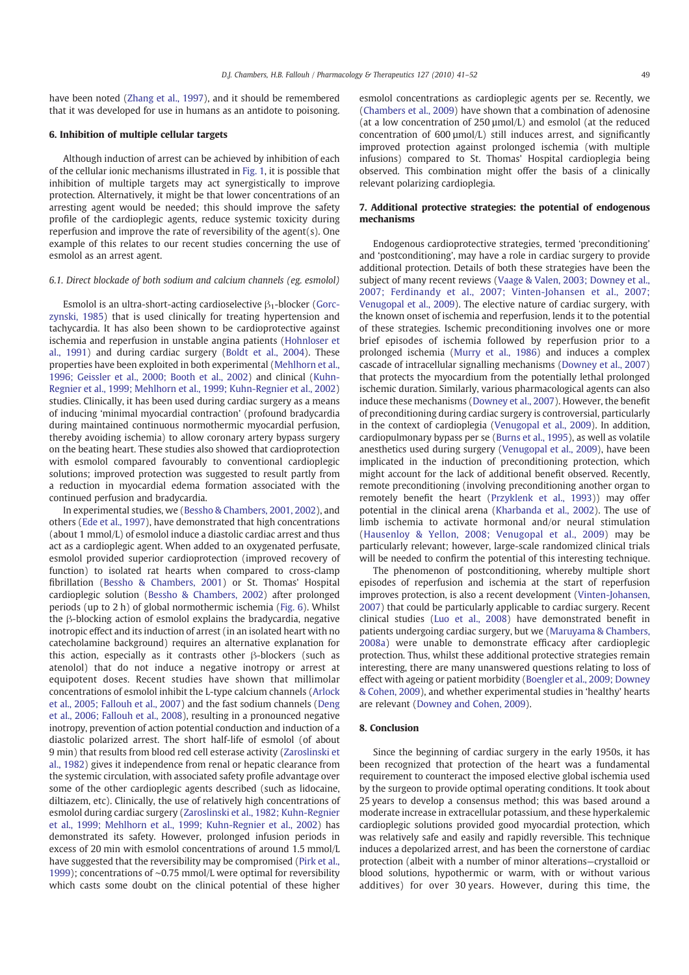have been noted (Zhang et al., 1997), and it should be remembered that it was developed for use in humans as an antidote to poisoning.

#### 6. Inhibition of multiple cellular targets

Although induction of arrest can be achieved by inhibition of each of the cellular ionic mechanisms illustrated in Fig. 1, it is possible that inhibition of multiple targets may act synergistically to improve protection. Alternatively, it might be that lower concentrations of an arresting agent would be needed; this should improve the safety profile of the cardioplegic agents, reduce systemic toxicity during reperfusion and improve the rate of reversibility of the agent(s). One example of this relates to our recent studies concerning the use of esmolol as an arrest agent.

#### 6.1. Direct blockade of both sodium and calcium channels (eg. esmolol)

Esmolol is an ultra-short-acting cardioselective  $\beta_1$ -blocker (Gorczynski, 1985) that is used clinically for treating hypertension and tachycardia. It has also been shown to be cardioprotective against ischemia and reperfusion in unstable angina patients (Hohnloser et al., 1991) and during cardiac surgery (Boldt et al., 2004). These properties have been exploited in both experimental (Mehlhorn et al., 1996; Geissler et al., 2000; Booth et al., 2002) and clinical (Kuhn-Regnier et al., 1999; Mehlhorn et al., 1999; Kuhn-Regnier et al., 2002) studies. Clinically, it has been used during cardiac surgery as a means of inducing 'minimal myocardial contraction' (profound bradycardia during maintained continuous normothermic myocardial perfusion, thereby avoiding ischemia) to allow coronary artery bypass surgery on the beating heart. These studies also showed that cardioprotection with esmolol compared favourably to conventional cardioplegic solutions; improved protection was suggested to result partly from a reduction in myocardial edema formation associated with the continued perfusion and bradycardia.

In experimental studies, we (Bessho & Chambers, 2001, 2002), and others (Ede et al., 1997), have demonstrated that high concentrations (about 1 mmol/L) of esmolol induce a diastolic cardiac arrest and thus act as a cardioplegic agent. When added to an oxygenated perfusate, esmolol provided superior cardioprotection (improved recovery of function) to isolated rat hearts when compared to cross-clamp fibrillation (Bessho & Chambers, 2001) or St. Thomas' Hospital cardioplegic solution (Bessho & Chambers, 2002) after prolonged periods (up to 2 h) of global normothermic ischemia (Fig. 6). Whilst the β-blocking action of esmolol explains the bradycardia, negative inotropic effect and its induction of arrest (in an isolated heart with no catecholamine background) requires an alternative explanation for this action, especially as it contrasts other β-blockers (such as atenolol) that do not induce a negative inotropy or arrest at equipotent doses. Recent studies have shown that millimolar concentrations of esmolol inhibit the L-type calcium channels (Arlock et al., 2005; Fallouh et al., 2007) and the fast sodium channels (Deng et al., 2006; Fallouh et al., 2008), resulting in a pronounced negative inotropy, prevention of action potential conduction and induction of a diastolic polarized arrest. The short half-life of esmolol (of about 9 min) that results from blood red cell esterase activity (Zaroslinski et al., 1982) gives it independence from renal or hepatic clearance from the systemic circulation, with associated safety profile advantage over some of the other cardioplegic agents described (such as lidocaine, diltiazem, etc). Clinically, the use of relatively high concentrations of esmolol during cardiac surgery (Zaroslinski et al., 1982; Kuhn-Regnier et al., 1999; Mehlhorn et al., 1999; Kuhn-Regnier et al., 2002) has demonstrated its safety. However, prolonged infusion periods in excess of 20 min with esmolol concentrations of around 1.5 mmol/L have suggested that the reversibility may be compromised (Pirk et al., 1999); concentrations of ∼0.75 mmol/L were optimal for reversibility which casts some doubt on the clinical potential of these higher

esmolol concentrations as cardioplegic agents per se. Recently, we (Chambers et al., 2009) have shown that a combination of adenosine (at a low concentration of 250 µmol/L) and esmolol (at the reduced concentration of 600 µmol/L) still induces arrest, and significantly improved protection against prolonged ischemia (with multiple infusions) compared to St. Thomas' Hospital cardioplegia being observed. This combination might offer the basis of a clinically relevant polarizing cardioplegia.

#### 7. Additional protective strategies: the potential of endogenous mechanisms

Endogenous cardioprotective strategies, termed 'preconditioning' and 'postconditioning', may have a role in cardiac surgery to provide additional protection. Details of both these strategies have been the subject of many recent reviews (Vaage & Valen, 2003; Downey et al., 2007; Ferdinandy et al., 2007; Vinten-Johansen et al., 2007; Venugopal et al., 2009). The elective nature of cardiac surgery, with the known onset of ischemia and reperfusion, lends it to the potential of these strategies. Ischemic preconditioning involves one or more brief episodes of ischemia followed by reperfusion prior to a prolonged ischemia (Murry et al., 1986) and induces a complex cascade of intracellular signalling mechanisms (Downey et al., 2007) that protects the myocardium from the potentially lethal prolonged ischemic duration. Similarly, various pharmacological agents can also induce these mechanisms (Downey et al., 2007). However, the benefit of preconditioning during cardiac surgery is controversial, particularly in the context of cardioplegia (Venugopal et al., 2009). In addition, cardiopulmonary bypass per se (Burns et al., 1995), as well as volatile anesthetics used during surgery (Venugopal et al., 2009), have been implicated in the induction of preconditioning protection, which might account for the lack of additional benefit observed. Recently, remote preconditioning (involving preconditioning another organ to remotely benefit the heart (Przyklenk et al., 1993)) may offer potential in the clinical arena (Kharbanda et al., 2002). The use of limb ischemia to activate hormonal and/or neural stimulation (Hausenloy & Yellon, 2008; Venugopal et al., 2009) may be particularly relevant; however, large-scale randomized clinical trials will be needed to confirm the potential of this interesting technique.

The phenomenon of postconditioning, whereby multiple short episodes of reperfusion and ischemia at the start of reperfusion improves protection, is also a recent development (Vinten-Johansen, 2007) that could be particularly applicable to cardiac surgery. Recent clinical studies (Luo et al., 2008) have demonstrated benefit in patients undergoing cardiac surgery, but we (Maruyama & Chambers, 2008a) were unable to demonstrate efficacy after cardioplegic protection. Thus, whilst these additional protective strategies remain interesting, there are many unanswered questions relating to loss of effect with ageing or patient morbidity (Boengler et al., 2009; Downey & Cohen, 2009), and whether experimental studies in 'healthy' hearts are relevant (Downey and Cohen, 2009).

#### 8. Conclusion

Since the beginning of cardiac surgery in the early 1950s, it has been recognized that protection of the heart was a fundamental requirement to counteract the imposed elective global ischemia used by the surgeon to provide optimal operating conditions. It took about 25 years to develop a consensus method; this was based around a moderate increase in extracellular potassium, and these hyperkalemic cardioplegic solutions provided good myocardial protection, which was relatively safe and easily and rapidly reversible. This technique induces a depolarized arrest, and has been the cornerstone of cardiac protection (albeit with a number of minor alterations—crystalloid or blood solutions, hypothermic or warm, with or without various additives) for over 30 years. However, during this time, the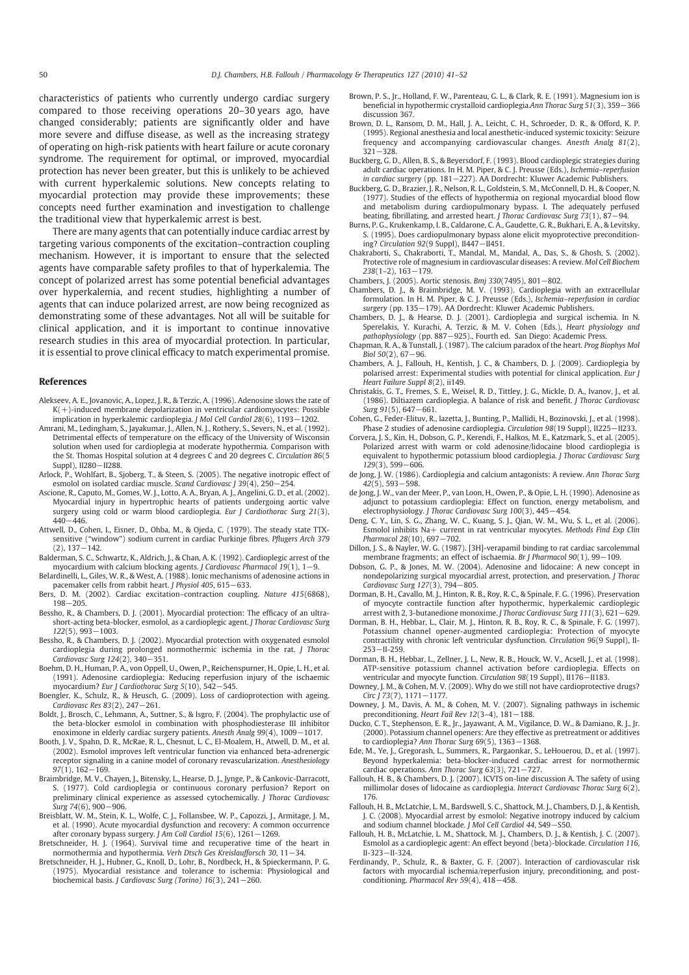characteristics of patients who currently undergo cardiac surgery compared to those receiving operations 20–30 years ago, have changed considerably; patients are significantly older and have more severe and diffuse disease, as well as the increasing strategy of operating on high-risk patients with heart failure or acute coronary syndrome. The requirement for optimal, or improved, myocardial protection has never been greater, but this is unlikely to be achieved with current hyperkalemic solutions. New concepts relating to myocardial protection may provide these improvements; these concepts need further examination and investigation to challenge the traditional view that hyperkalemic arrest is best.

There are many agents that can potentially induce cardiac arrest by targeting various components of the excitation–contraction coupling mechanism. However, it is important to ensure that the selected agents have comparable safety profiles to that of hyperkalemia. The concept of polarized arrest has some potential beneficial advantages over hyperkalemia, and recent studies, highlighting a number of agents that can induce polarized arrest, are now being recognized as demonstrating some of these advantages. Not all will be suitable for clinical application, and it is important to continue innovative research studies in this area of myocardial protection. In particular, it is essential to prove clinical efficacy to match experimental promise.

#### References

- Alekseev, A. E., Jovanovic, A., Lopez, J. R., & Terzic, A. (1996). Adenosine slows the rate of  $K(+)$ -induced membrane depolarization in ventricular cardiomyocytes: Possible implication in hyperkalemic cardioplegia. J Mol Cell Cardiol 28(6), 1193−1202.
- Amrani, M., Ledingham, S., Jayakumar, J., Allen, N. J., Rothery, S., Severs, N., et al. (1992). Detrimental effects of temperature on the efficacy of the University of Wisconsin solution when used for cardioplegia at moderate hypothermia. Comparison with the St. Thomas Hospital solution at 4 degrees C and 20 degrees C. Circulation 86(5 Suppl), II280−II288.
- Arlock, P., Wohlfart, B., Sjoberg, T., & Steen, S. (2005). The negative inotropic effect of esmolol on isolated cardiac muscle. Scand Cardiovasc J 39(4), 250−254.
- Ascione, R., Caputo, M., Gomes, W. J., Lotto, A. A., Bryan, A. J., Angelini, G. D., et al. (2002). Myocardial injury in hypertrophic hearts of patients undergoing aortic valve surgery using cold or warm blood cardioplegia. Eur J Cardiothorac Surg 21(3), 440−446.
- Attwell, D., Cohen, I., Eisner, D., Ohba, M., & Ojeda, C. (1979). The steady state TTXsensitive ("window") sodium current in cardiac Purkinje fibres. Pflugers Arch 379 (2), 137−142.
- Balderman, S. C., Schwartz, K., Aldrich, J., & Chan, A. K. (1992). Cardioplegic arrest of the myocardium with calcium blocking agents. J Cardiovasc Pharmacol 19(1), 1−9.
- Belardinelli, L., Giles, W. R., & West, A. (1988). Ionic mechanisms of adenosine actions in pacemaker cells from rabbit heart. J Physiol 405, 615−633.
- Bers, D. M. (2002). Cardiac excitation–contraction coupling. Nature 415(6868), 198−205.
- Bessho, R., & Chambers, D. J. (2001). Myocardial protection: The efficacy of an ultrashort-acting beta-blocker, esmolol, as a cardioplegic agent. J Thorac Cardiovasc Surg 122(5), 993−1003.
- Bessho, R., & Chambers, D. J. (2002). Myocardial protection with oxygenated esmolol cardioplegia during prolonged normothermic ischemia in the rat. J Thorac Cardiovasc Surg 124(2), 340−351.
- Boehm, D. H., Human, P. A., von Oppell, U., Owen, P., Reichenspurner, H., Opie, L. H., et al. (1991). Adenosine cardioplegia: Reducing reperfusion injury of the ischaemic myocardium? Eur J Cardiothorac Surg 5(10), 542−545.
- Boengler, K., Schulz, R., & Heusch, G. (2009). Loss of cardioprotection with ageing. Cardiovasc Res 83(2), 247−261.
- Boldt, J., Brosch, C., Lehmann, A., Suttner, S., & Isgro, F. (2004). The prophylactic use of the beta-blocker esmolol in combination with phosphodiesterase III inhibitor enoximone in elderly cardiac surgery patients. Anesth Analg 99(4), 1009−1017.
- Booth, J. V., Spahn, D. R., McRae, R. L., Chesnut, L. C., El-Moalem, H., Atwell, D. M., et al. (2002). Esmolol improves left ventricular function via enhanced beta-adrenergic receptor signaling in a canine model of coronary revascularization. Anesthesiology 97(1), 162−169.
- Braimbridge, M. V., Chayen, J., Bitensky, L., Hearse, D. J., Jynge, P., & Cankovic-Darracott, S. (1977). Cold cardioplegia or continuous coronary perfusion? Report on preliminary clinical experience as assessed cytochemically. J Thorac Cardiovasc Surg 74(6), 900−906.
- Breisblatt, W. M., Stein, K. L., Wolfe, C. J., Follansbee, W. P., Capozzi, J., Armitage, J. M., et al. (1990). Acute myocardial dysfunction and recovery: A common occurrence after coronary bypass surgery. J Am Coll Cardiol 15(6), 1261−1269.
- Bretschneider, H. J. (1964). Survival time and recuperative time of the heart in normothermia and hypothermia. Verh Dtsch Ges Kreislaufforsch 30, 11−34.
- Bretschneider, H. J., Hubner, G., Knoll, D., Lohr, B., Nordbeck, H., & Spieckermann, P. G. (1975). Myocardial resistance and tolerance to ischemia: Physiological and biochemical basis. J Cardiovasc Surg (Torino) 16(3), 241−260.
- Brown, P. S., Jr., Holland, F. W., Parenteau, G. L., & Clark, R. E. (1991). Magnesium ion is beneficial in hypothermic crystalloid cardioplegia.Ann Thorac Surg 51(3), 359−366 discussion 367.
- Brown, D. L., Ransom, D. M., Hall, J. A., Leicht, C. H., Schroeder, D. R., & Offord, K. P. (1995). Regional anesthesia and local anesthetic-induced systemic toxicity: Seizure frequency and accompanying cardiovascular changes. Anesth Analg 81(2), 321−328.
- Buckberg, G. D., Allen, B. S., & Beyersdorf, F. (1993). Blood cardioplegic strategies during adult cardiac operations. In H. M. Piper, & C. J. Preusse (Eds.), Ischemia–reperfusion in cardiac surgery (pp. 181−227). AA Dordrecht: Kluwer Academic Publishers.
- Buckberg, G. D., Brazier, J. R., Nelson, R. L., Goldstein, S. M., McConnell, D. H., & Cooper, N. (1977). Studies of the effects of hypothermia on regional myocardial blood flow and metabolism during cardiopulmonary bypass. I. The adequately perfused beating, fibrillating, and arrested heart. J Thorac Cardiovasc Surg 73(1), 87−94.
- Burns, P. G., Krukenkamp, I. B., Caldarone, C. A., Gaudette, G. R., Bukhari, E. A., & Levitsky, S. (1995). Does cardiopulmonary bypass alone elicit myoprotective preconditioning? Circulation 92(9 Suppl), II447−II451.
- Chakraborti, S., Chakraborti, T., Mandal, M., Mandal, A., Das, S., & Ghosh, S. (2002). Protective role of magnesium in cardiovascular diseases: A review. Mol Cell Biochem 238(1–2), 163−179.
- 
- Chambers, J. (2005). Aortic stenosis. Bmj 330(7495), 801−802. Chambers, D. J., & Braimbridge, M. V. (1993). Cardioplegia with an extracellular formulation. In H. M. Piper, & C. J. Preusse (Eds.), Ischemia–reperfusion in cardiac surgery (pp. 135−179). AA Dordrecht: Kluwer Academic Publishers.
- Chambers, D. J., & Hearse, D. J. (2001). Cardioplegia and surgical ischemia. In N. Sperelakis, Y. Kurachi, A. Terzic, & M. V. Cohen (Eds.), Heart physiology and pathophysiology (pp. 887−925)., Fourth ed. San Diego: Academic Press.
- Chapman, R. A., & Tunstall, J. (1987). The calcium paradox of the heart. Prog Biophys Mol Biol 50(2), 67−96.
- Chambers, A. J., Fallouh, H., Kentish, J. C., & Chambers, D. J. (2009). Cardioplegia by polarised arrest: Experimental studies with potential for clinical application. Eur J Heart Failure Suppl 8(2), ii149.
- Christakis, G. T., Fremes, S. E., Weisel, R. D., Tittley, J. G., Mickle, D. A., Ivanov, J., et al. (1986). Diltiazem cardioplegia. A balance of risk and benefit. J Thorac Cardiovasc Surg 91(5), 647−661.
- Cohen, G., Feder-Elituv, R., Iazetta, J., Bunting, P., Mallidi, H., Bozinovski, J., et al. (1998). Phase 2 studies of adenosine cardioplegia. Circulation 98(19 Suppl), II225−II233.
- Corvera, J. S., Kin, H., Dobson, G. P., Kerendi, F., Halkos, M. E., Katzmark, S., et al. (2005). Polarized arrest with warm or cold adenosine/lidocaine blood cardioplegia is equivalent to hypothermic potassium blood cardioplegia. J Thorac Cardiovasc Surg 129(3), 599−606.
- de Jong, J. W. (1986). Cardioplegia and calcium antagonists: A review. Ann Thorac Surg 42(5), 593−598.
- de Jong, J. W., van der Meer, P., van Loon, H., Owen, P., & Opie, L. H. (1990). Adenosine as adjunct to potassium cardioplegia: Effect on function, energy metabolism, and electrophysiology. J Thorac Cardiovasc Surg 100(3), 445−454.
- Deng, C. Y., Lin, S. G., Zhang, W. C., Kuang, S. J., Qian, W. M., Wu, S. L., et al. (2006). Esmolol inhibits Na+ current in rat ventricular myocytes. Methods Find Exp Clin Pharmacol 28(10), 697−702.
- Dillon, J. S., & Nayler, W. G. (1987). [3H]-verapamil binding to rat cardiac sarcolemmal membrane fragments; an effect of ischaemia. Br J Pharmacol 90(1), 99−109.
- Dobson, G. P., & Jones, M. W. (2004). Adenosine and lidocaine: A new concept in nondepolarizing surgical myocardial arrest, protection, and preservation. *J Thorac* nondepolarizing surgical myocardial arrest, protection, and preservation. *J Thorac* Cardiovasc Surg 127(3), 794−805.
- Dorman, B. H., Cavallo, M. J., Hinton, R. B., Roy, R. C., & Spinale, F. G. (1996). Preservation of myocyte contractile function after hypothermic, hyperkalemic cardioplegic arrest with 2, 3-butanedione monoxime. J Thorac Cardiovasc Surg 111(3), 621−629.
- Dorman, B. H., Hebbar, L., Clair, M. J., Hinton, R. B., Roy, R. C., & Spinale, F. G. (1997). Potassium channel opener-augmented cardioplegia: Protection of myocyte contractility with chronic left ventricular dysfunction. Circulation 96(9 Suppl), II-253−II-259.
- Dorman, B. H., Hebbar, L., Zellner, J. L., New, R. B., Houck, W. V., Acsell, J., et al. (1998). ATP-sensitive potassium channel activation before cardioplegia. Effects on ventricular and myocyte function. Circulation 98(19 Suppl), II176−II183.
- Downey, J. M., & Cohen, M. V. (2009). Why do we still not have cardioprotective drugs? Circ J 73(7), 1171−1177.
- Downey, J. M., Davis, A. M., & Cohen, M. V. (2007). Signaling pathways in ischemic preconditioning. Heart Fail Rev 12(3–4), 181−188.
- Ducko, C. T., Stephenson, E. R., Jr., Jayawant, A. M., Vigilance, D. W., & Damiano, R. J., Jr. (2000). Potassium channel openers: Are they effective as pretreatment or additives to cardioplegia? Ann Thorac Surg 69(5), 1363−1368.
- Ede, M., Ye, J., Gregorash, L., Summers, R., Pargaonkar, S., LeHouerou, D., et al. (1997). Beyond hyperkalemia: beta-blocker-induced cardiac arrest for normothermic cardiac operations. Ann Thorac Surg 63(3), 721−727.
- Fallouh, H. B., & Chambers, D. J. (2007). ICVTS on-line discussion A. The safety of using millimolar doses of lidocaine as cardioplegia. Interact Cardiovasc Thorac Surg 6(2), 176.
- Fallouh, H. B., McLatchie, L. M., Bardswell, S. C., Shattock, M. J., Chambers, D. J., & Kentish, J. C. (2008). Myocardial arrest by esmolol: Negative inotropy induced by calcium and sodium channel blockade. J Mol Cell Cardiol 44, S49−S50.
- Fallouh, H. B., McLatchie, L. M., Shattock, M. J., Chambers, D. J., & Kentish, J. C. (2007). Esmolol as a cardioplegic agent: An effect beyond (beta)-blockade. Circulation 116, II-323−II-324.
- Ferdinandy, P., Schulz, R., & Baxter, G. F. (2007). Interaction of cardiovascular risk factors with myocardial ischemia/reperfusion injury, preconditioning, and postconditioning. Pharmacol Rev 59(4), 418−458.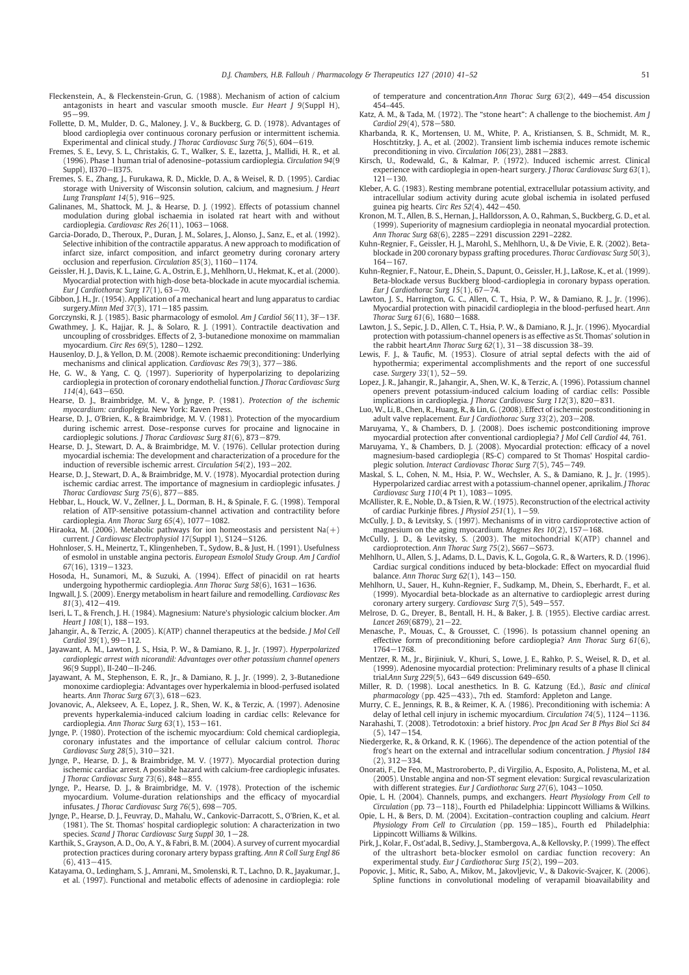- Fleckenstein, A., & Fleckenstein-Grun, G. (1988). Mechanism of action of calcium antagonists in heart and vascular smooth muscle. Eur Heart J 9(Suppl H), 95−99.
- Follette, D. M., Mulder, D. G., Maloney, J. V., & Buckberg, G. D. (1978). Advantages of blood cardioplegia over continuous coronary perfusion or intermittent ischemia. Experimental and clinical study. J Thorac Cardiovasc Surg 76(5), 604−619.
- Fremes, S. E., Levy, S. L., Christakis, G. T., Walker, S. E., Iazetta, J., Mallidi, H. R., et al. (1996). Phase 1 human trial of adenosine–potassium cardioplegia. Circulation 94(9 Suppl), II370−II375.
- Fremes, S. E., Zhang, J., Furukawa, R. D., Mickle, D. A., & Weisel, R. D. (1995). Cardiac storage with University of Wisconsin solution, calcium, and magnesium. *J Heart* Lung Transplant 14(5), 916−925.
- Galinanes, M., Shattock, M. J., & Hearse, D. J. (1992). Effects of potassium channel modulation during global ischaemia in isolated rat heart with and without cardioplegia. Cardiovasc Res 26(11), 1063−1068.
- Garcia-Dorado, D., Theroux, P., Duran, J. M., Solares, J., Alonso, J., Sanz, E., et al. (1992). Selective inhibition of the contractile apparatus. A new approach to modification of infarct size, infarct composition, and infarct geometry during coronary artery occlusion and reperfusion. Circulation 85(3), 1160−1174.
- Geissler, H. J., Davis, K. L., Laine, G. A., Ostrin, E. J., Mehlhorn, U., Hekmat, K., et al. (2000). Myocardial protection with high-dose beta-blockade in acute myocardial ischemia. Eur J Cardiothorac Surg 17(1), 63−70.
- Gibbon, J. H., Jr. (1954). Application of a mechanical heart and lung apparatus to cardiac surgery.Minn Med 37(3), 171-185 passim.
- Gorczynski, R. J. (1985). Basic pharmacology of esmolol. Am J Cardiol 56(11), 3F−13F. Gwathmey, J. K., Hajjar, R. J., & Solaro, R. J. (1991). Contractile deactivation and uncoupling of crossbridges. Effects of 2, 3-butanedione monoxime on mammalian myocardium. Circ Res 69(5), 1280−1292.
- Hausenloy, D. J., & Yellon, D. M. (2008). Remote ischaemic preconditioning: Underlying mechanisms and clinical application. Cardiovasc Res 79(3), 377−386.
- He, G. W., & Yang, C. Q. (1997). Superiority of hyperpolarizing to depolarizing cardioplegia in protection of coronary endothelial function. J Thorac Cardiovasc Surg 114(4), 643−650.
- Hearse, D. J., Braimbridge, M. V., & Jynge, P. (1981). Protection of the ischemic myocardium: cardioplegia. New York: Raven Press.
- Hearse, D. J., O'Brien, K., & Braimbridge, M. V. (1981). Protection of the myocardium during ischemic arrest. Dose–response curves for procaine and lignocaine in cardioplegic solutions. J Thorac Cardiovasc Surg 81(6), 873−879.
- Hearse, D. J., Stewart, D. A., & Braimbridge, M. V. (1976). Cellular protection during myocardial ischemia: The development and characterization of a procedure for the induction of reversible ischemic arrest. Circulation 54(2), 193−202.
- Hearse, D. J., Stewart, D. A., & Braimbridge, M. V. (1978). Myocardial protection during ischemic cardiac arrest. The importance of magnesium in cardioplegic infusates. J Thorac Cardiovasc Surg 75(6), 877−885.
- Hebbar, L., Houck, W. V., Zellner, J. L., Dorman, B. H., & Spinale, F. G. (1998). Temporal relation of ATP-sensitive potassium-channel activation and contractility before cardioplegia. Ann Thorac Surg 65(4), 1077−1082.
- Hiraoka, M. (2006). Metabolic pathways for ion homeostasis and persistent Na(+) current. J Cardiovasc Electrophysiol 17(Suppl 1), S124−S126.
- Hohnloser, S. H., Meinertz, T., Klingenheben, T., Sydow, B., & Just, H. (1991). Usefulness of esmolol in unstable angina pectoris. European Esmolol Study Group. Am J Cardiol 67(16), 1319−1323.
- Hosoda, H., Sunamori, M., & Suzuki, A. (1994). Effect of pinacidil on rat hearts undergoing hypothermic cardioplegia. Ann Thorac Surg 58(6), 1631−1636.
- Ingwall, J. S. (2009). Energy metabolism in heart failure and remodelling. Cardiovasc Res 81(3), 412−419.
- Iseri, L. T., & French, J. H. (1984). Magnesium: Nature's physiologic calcium blocker. Am Heart J 108(1), 188-193
- Jahangir, A., & Terzic, A. (2005). K(ATP) channel therapeutics at the bedside. J Mol Cell Cardiol 39(1), 99−112.
- Jayawant, A. M., Lawton, J. S., Hsia, P. W., & Damiano, R. J., Jr. (1997). Hyperpolarized cardioplegic arrest with nicorandil: Advantages over other potassium channel openers 96(9 Suppl), II-240−II-246.
- Jayawant, A. M., Stephenson, E. R., Jr., & Damiano, R. J., Jr. (1999). 2, 3-Butanedione monoxime cardioplegia: Advantages over hyperkalemia in blood-perfused isolated hearts. Ann Thorac Surg 67(3), 618–623.
- Jovanovic, A., Alekseev, A. E., Lopez, J. R., Shen, W. K., & Terzic, A. (1997). Adenosine prevents hyperkalemia-induced calcium loading in cardiac cells: Relevance for cardioplegia. Ann Thorac Surg 63(1), 153−161.
- Jynge, P. (1980). Protection of the ischemic myocardium: Cold chemical cardioplegia, coronary infustates and the importance of cellular calcium control. Thorac Cardiovasc Surg 28(5), 310−321.
- Jynge, P., Hearse, D. J., & Braimbridge, M. V. (1977). Myocardial protection during ischemic cardiac arrest. A possible hazard with calcium-free cardioplegic infusates. J Thorac Cardiovasc Surg 73(6), 848−855.
- Jynge, P., Hearse, D. J., & Braimbridge, M. V. (1978). Protection of the ischemic myocardium. Volume-duration relationships and the efficacy of myocardial infusates. J Thorac Cardiovasc Surg 76(5), 698−705.
- Jynge, P., Hearse, D. J., Feuvray, D., Mahalu, W., Cankovic-Darracott, S., O'Brien, K., et al. (1981). The St. Thomas' hospital cardioplegic solution: A characterization in two species. Scand J Thorac Cardiovasc Surg Suppl 30, 1−28.
- Karthik, S., Grayson, A. D., Oo, A. Y., & Fabri, B. M. (2004). A survey of current myocardial protection practices during coronary artery bypass grafting. Ann R Coll Surg Engl 86  $(6)$ , 413–415.
- Katayama, O., Ledingham, S. J., Amrani, M., Smolenski, R. T., Lachno, D. R., Jayakumar, J., et al. (1997). Functional and metabolic effects of adenosine in cardioplegia: role

of temperature and concentration.Ann Thorac Surg 63(2), 449−454 discussion 454–445.

- Katz, A. M., & Tada, M. (1972). The "stone heart": A challenge to the biochemist. Am J Cardiol 29(4), 578−580.
- Kharbanda, R. K., Mortensen, U. M., White, P. A., Kristiansen, S. B., Schmidt, M. R., Hoschtitzky, J. A., et al. (2002). Transient limb ischemia induces remote ischemic preconditioning in vivo. Circulation 106(23), 2881−2883.
- Kirsch, U., Rodewald, G., & Kalmar, P. (1972). Induced ischemic arrest. Clinical experience with cardioplegia in open-heart surgery. J Thorac Cardiovasc Surg 63(1), 121−130.
- Kleber, A. G. (1983). Resting membrane potential, extracellular potassium activity, and intracellular sodium activity during acute global ischemia in isolated perfused guinea pig hearts. Circ Res 52(4), 442−450.
- Kronon, M. T., Allen, B. S., Hernan, J., Halldorsson, A. O., Rahman, S., Buckberg, G. D., et al. (1999). Superiority of magnesium cardioplegia in neonatal myocardial protection. Ann Thorac Surg 68(6), 2285−2291 discussion 2291–2282.
- Kuhn-Regnier, F., Geissler, H. J., Marohl, S., Mehlhorn, U., & De Vivie, E. R. (2002). Betablockade in 200 coronary bypass grafting procedures. Thorac Cardiovasc Surg 50(3), 164−167.
- Kuhn-Regnier, F., Natour, E., Dhein, S., Dapunt, O., Geissler, H. J., LaRose, K., et al. (1999). Beta-blockade versus Buckberg blood-cardioplegia in coronary bypass operation. Eur J Cardiothorac Surg 15(1), 67−74.
- Lawton, J. S., Harrington, G. C., Allen, C. T., Hsia, P. W., & Damiano, R. J., Jr. (1996). Myocardial protection with pinacidil cardioplegia in the blood-perfused heart. Ann Thorac Surg 61(6), 1680−1688.
- Lawton, J. S., Sepic, J. D., Allen, C. T., Hsia, P. W., & Damiano, R. J., Jr. (1996). Myocardial protection with potassium-channel openers is as effective as St. Thomas' solution in
- the rabbit heart.Ann Thorac Surg 62(1), 31−38 discussion 38–39. Lewis, F. J., & Taufic, M. (1953). Closure of atrial septal defects with the aid of hypothermia; experimental accomplishments and the report of one successful case. Surgery 33(1), 52−59.
- Lopez, J. R., Jahangir, R., Jahangir, A., Shen, W. K., & Terzic, A. (1996). Potassium channel openers prevent potassium-induced calcium loading of cardiac cells: Possible implications in cardioplegia. J Thorac Cardiovasc Surg 112(3), 820−831.
- Luo, W., Li, B., Chen, R., Huang, R., & Lin, G. (2008). Effect of ischemic postconditioning in adult valve replacement. Eur J Cardiothorac Surg 33(2), 203−208.
- Maruyama, Y., & Chambers, D. J. (2008). Does ischemic postconditioning improve myocardial protection after conventional cardioplegia? J Mol Cell Cardiol 44, 761.
- Maruyama, Y., & Chambers, D. J. (2008). Myocardial protection: efficacy of a novel magnesium-based cardioplegia (RS-C) compared to St Thomas' Hospital cardioplegic solution. Interact Cardiovasc Thorac Surg 7(5), 745−749.
- Maskal, S. L., Cohen, N. M., Hsia, P. W., Wechsler, A. S., & Damiano, R. J., Jr. (1995). Hyperpolarized cardiac arrest with a potassium-channel opener, aprikalim. J Thorac Cardiovasc Surg 110(4 Pt 1), 1083−1095.
- McAllister, R. E., Noble, D., & Tsien, R. W. (1975). Reconstruction of the electrical activity of cardiac Purkinje fibres. J Physiol 251(1), 1−59.
- McCully, J. D., & Levitsky, S. (1997). Mechanisms of in vitro cardioprotective action of magnesium on the aging myocardium. Magnes Res 10(2), 157–168.
- McCully, J. D., & Levitsky, S. (2003). The mitochondrial K(ATP) channel and cardioprotection. Ann Thorac Surg 75(2), S667−S673.
- Mehlhorn, U., Allen, S. J., Adams, D. L., Davis, K. L., Gogola, G. R., & Warters, R. D. (1996). Cardiac surgical conditions induced by beta-blockade: Effect on myocardial fluid balance. Ann Thorac Surg 62(1), 143−150.
- Mehlhorn, U., Sauer, H., Kuhn-Regnier, F., Sudkamp, M., Dhein, S., Eberhardt, F., et al. (1999). Myocardial beta-blockade as an alternative to cardioplegic arrest during coronary artery surgery. Cardiovasc Surg 7(5), 549−557.
- Melrose, D. G., Dreyer, B., Bentall, H. H., & Baker, J. B. (1955). Elective cardiac arrest. Lancet 269(6879), 21−22.
- Menasche, P., Mouas, C., & Grousset, C. (1996). Is potassium channel opening an effective form of preconditioning before cardioplegia? Ann Thorac Surg 61(6), 1764−1768.
- Mentzer, R. M., Jr., Birjiniuk, V., Khuri, S., Lowe, J. E., Rahko, P. S., Weisel, R. D., et al. (1999). Adenosine myocardial protection: Preliminary results of a phase II clinical trial.Ann Surg 229(5), 643−649 discussion 649–650.
- Miller, R. D. (1998). Local anesthetics. In B. G. Katzung (Ed.), Basic and clinical pharmacology (pp. 425−433)., 7th ed. Stamford: Appleton and Lange.
- Murry, C. E., Jennings, R. B., & Reimer, K. A. (1986). Preconditioning with ischemia: A delay of lethal cell injury in ischemic myocardium. Circulation 74(5), 1124−1136.
- Narahashi, T. (2008). Tetrodotoxin: a brief history. Proc Jpn Acad Ser B Phys Biol Sci 84 (5), 147−154.
- Niedergerke, R., & Orkand, R. K. (1966). The dependence of the action potential of the frog's heart on the external and intracellular sodium concentration. J Physiol 184 (2), 312−334.
- Onorati, F., De Feo, M., Mastroroberto, P., di Virgilio, A., Esposito, A., Polistena, M., et al. (2005). Unstable angina and non-ST segment elevation: Surgical revascularization
- with different strategies. Eur J Cardiothorac Surg 27(6), 1043−1050. Opie, L. H. (2004). Channels, pumps, and exchangers. Heart Physiology From Cell to Circulation (pp. 73−118)., Fourth ed Philadelphia: Lippincott Williams & Wilkins.
- Opie, L. H., & Bers, D. M. (2004). Excitation–contraction coupling and calcium. Heart Physiology From Cell to Circulation (pp. 159−185)., Fourth ed Philadelphia: Lippincott Williams & Wilkins.
- Pirk, J., Kolar, F., Ost'adal, B., Sedivy, J., Stambergova, A., & Kellovsky, P. (1999). The effect of the ultrashort beta-blocker esmolol on cardiac function recovery: An experimental study. Eur J Cardiothorac Surg 15(2), 199−203.
- Popovic, J., Mitic, R., Sabo, A., Mikov, M., Jakovljevic, V., & Dakovic-Svajcer, K. (2006). Spline functions in convolutional modeling of verapamil bioavailability and